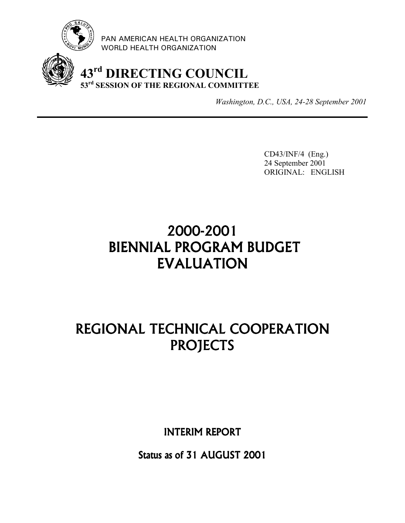

PAN AMERICAN HEALTH ORGANIZATION WORLD HEALTH ORGANIZATION

# **43rd DIRECTING COUNCIL 53rd SESSION OF THE REGIONAL COMMITTEE**

*Washington, D.C., USA, 24-28 September 2001*

CD43/INF/4 (Eng.) 24 September 2001 ORIGINAL: ENGLISH

# 2000-2001 BIENNIAL PROGRAM BUDGET EVALUATION

# REGIONAL TECHNICAL COOPERATION **PROJECTS**

INTERIM REPORT

Status as of 31 AUGUST 2001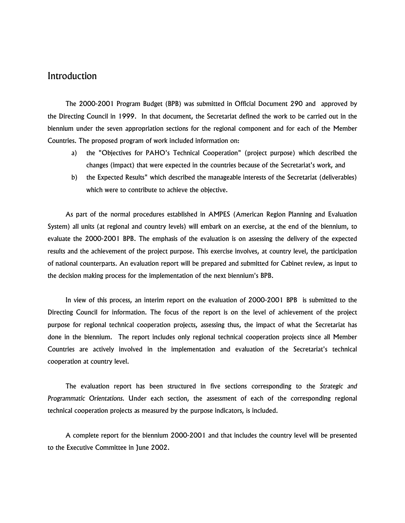### Introduction

The 2000-2001 Program Budget (BPB) was submitted in Official Document 290 and approved by the Directing Council in 1999. In that document, the Secretariat defined the work to be carried out in the biennium under the seven appropriation sections for the regional component and for each of the Member Countries. The proposed program of work included information on:

- a) the "Objectives for PAHO's Technical Cooperation" (project purpose) which described the changes (impact) that were expected in the countries because of the Secretariat's work, and
- b) the Expected Results" which described the manageable interests of the Secretariat (deliverables) which were to contribute to achieve the objective.

As part of the normal procedures established in AMPES (American Region Planning and Evaluation System) all units (at regional and country levels) will embark on an exercise, at the end of the biennium, to evaluate the 2000-2001 BPB. The emphasis of the evaluation is on assessing the delivery of the expected results and the achievement of the project purpose. This exercise involves, at country level, the participation of national counterparts. An evaluation report will be prepared and submitted for Cabinet review, as input to the decision making process for the implementation of the next biennium's BPB.

In view of this process, an interim report on the evaluation of 2000-2001 BPB is submitted to the Directing Council for information. The focus of the report is on the level of achievement of the project purpose for regional technical cooperation projects, assessing thus, the impact of what the Secretariat has done in the biennium. The report includes only regional technical cooperation projects since all Member Countries are actively involved in the implementation and evaluation of the Secretariat's technical cooperation at country level.

The evaluation report has been structured in five sections corresponding to the *Strategic and Programmatic Orientations.* Under each section, the assessment of each of the corresponding regional technical cooperation projects as measured by the purpose indicators, is included.

A complete report for the biennium 2000-2001 and that includes the country level will be presented to the Executive Committee in June 2002.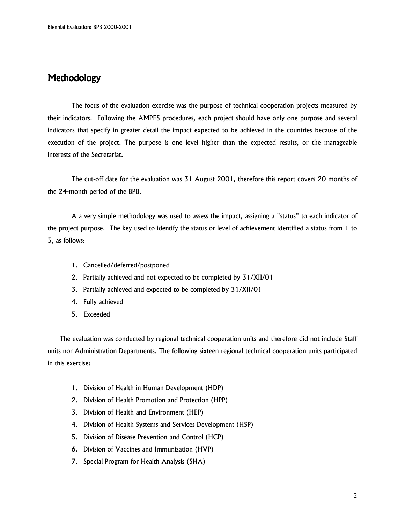### Methodology

The focus of the evaluation exercise was the purpose of technical cooperation projects measured by their indicators. Following the AMPES procedures, each project should have only one purpose and several indicators that specify in greater detail the impact expected to be achieved in the countries because of the execution of the project. The purpose is one level higher than the expected results, or the manageable interests of the Secretariat.

The cut-off date for the evaluation was 31 August 2001, therefore this report covers 20 months of the 24-month period of the BPB.

A a very simple methodology was used to assess the impact, assigning a "status" to each indicator of the project purpose. The key used to identify the status or level of achievement identified a status from 1 to 5, as follows:

- 1. Cancelled/deferred/postponed
- 2. Partially achieved and not expected to be completed by 31/XII/01
- 3. Partially achieved and expected to be completed by 31/XII/01
- 4. Fully achieved
- 5. Exceeded

The evaluation was conducted by regional technical cooperation units and therefore did not include Staff units nor Administration Departments. The following sixteen regional technical cooperation units participated in this exercise:

- 1. Division of Health in Human Development (HDP)
- 2. Division of Health Promotion and Protection (HPP)
- 3. Division of Health and Environment (HEP)
- 4. Division of Health Systems and Services Development (HSP)
- 5. Division of Disease Prevention and Control (HCP)
- 6. Division of Vaccines and Immunization (HVP)
- 7. Special Program for Health Analysis (SHA)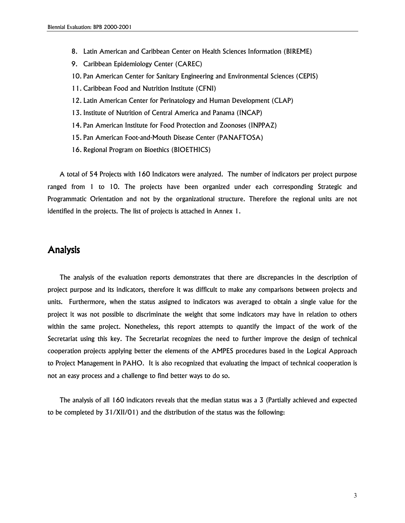- 8. Latin American and Caribbean Center on Health Sciences Information (BIREME)
- 9. Caribbean Epidemiology Center (CAREC)
- 10. Pan American Center for Sanitary Engineering and Environmental Sciences (CEPIS)
- 11. Caribbean Food and Nutrition Institute (CFNI)
- 12. Latin American Center for Perinatology and Human Development (CLAP)
- 13. Institute of Nutrition of Central America and Panama (INCAP)
- 14. Pan American Institute for Food Protection and Zoonoses (INPPAZ)
- 15. Pan American Foot-and-Mouth Disease Center (PANAFTOSA)
- 16. Regional Program on Bioethics (BIOETHICS)

A total of 54 Projects with 160 Indicators were analyzed. The number of indicators per project purpose ranged from 1 to 10. The projects have been organized under each corresponding Strategic and Programmatic Orientation and not by the organizational structure. Therefore the regional units are not identified in the projects. The list of projects is attached in Annex 1.

### Analysis

The analysis of the evaluation reports demonstrates that there are discrepancies in the description of project purpose and its indicators, therefore it was difficult to make any comparisons between projects and units. Furthermore, when the status assigned to indicators was averaged to obtain a single value for the project it was not possible to discriminate the weight that some indicators may have in relation to others within the same project. Nonetheless, this report attempts to quantify the impact of the work of the Secretariat using this key. The Secretariat recognizes the need to further improve the design of technical cooperation projects applying better the elements of the AMPES procedures based in the Logical Approach to Project Management in PAHO. It is also recognized that evaluating the impact of technical cooperation is not an easy process and a challenge to find better ways to do so.

The analysis of all 160 indicators reveals that the median status was a 3 (Partially achieved and expected to be completed by 31/XII/01) and the distribution of the status was the following: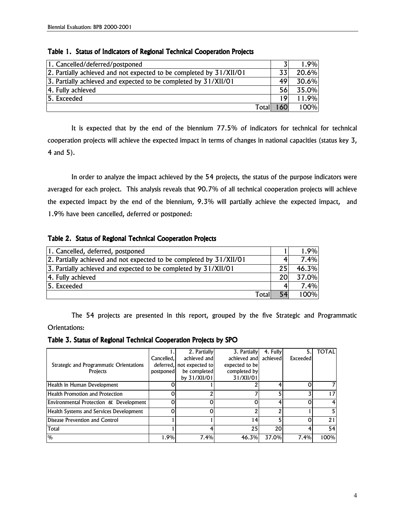| 1. Cancelled/deferred/postponed                                     |       |     | 1.9%  |
|---------------------------------------------------------------------|-------|-----|-------|
| 2. Partially achieved and not expected to be completed by 31/XII/01 |       | 33  | 20.6% |
| 3. Partially achieved and expected to be completed by 31/XII/01     |       | 49  | 30.6% |
| 4. Fully achieved                                                   |       | 56  | 35.0% |
| 5. Exceeded                                                         |       | 19  | 11.9% |
|                                                                     | Total | 160 | 100%  |

| Table 1. Status of Indicators of Regional Technical Cooperation Projects |
|--------------------------------------------------------------------------|
|--------------------------------------------------------------------------|

It is expected that by the end of the biennium 77.5% of indicators for technical for technical cooperation projects will achieve the expected impact in terms of changes in national capacities (status key 3, 4 and 5).

In order to analyze the impact achieved by the 54 projects, the status of the purpose indicators were averaged for each project. This analysis reveals that 90.7% of all technical cooperation projects will achieve the expected impact by the end of the biennium, 9.3% will partially achieve the expected impact, and 1.9% have been cancelled, deferred or postponed:

### Table 2. Status of Regional Technical Cooperation Projects

| 1. Cancelled, deferred, postponed                                   |           | 1.9%  |
|---------------------------------------------------------------------|-----------|-------|
| 2. Partially achieved and not expected to be completed by 31/XII/01 |           | 7.4%  |
| 3. Partially achieved and expected to be completed by 31/XII/01     | 25I       | 46.3% |
| 4. Fully achieved                                                   | <b>20</b> | 37.0% |
| 5. Exceeded                                                         | 4         | 7.4%  |
| Total                                                               | 54        | 100%  |

The 54 projects are presented in this report, grouped by the five Strategic and Programmatic Orientations:

### Table 3. Status of Regional Technical Cooperation Projects by SPO

|                                                |            | 2. Partially              | 3. Partially   | 4. Fully  | э        | <b>TOTAL</b> |
|------------------------------------------------|------------|---------------------------|----------------|-----------|----------|--------------|
|                                                | Cancelled. | achieved and              | achieved and   | achieved  | Exceeded |              |
| Strategic and Programmatic Orientations        |            | deferred, not expected to | expected to be |           |          |              |
| <b>Projects</b>                                | postponed  | be completed              | completed by   |           |          |              |
|                                                |            | by 31/XII/01              | 31/XII/01      |           |          |              |
| Health in Human Development                    |            |                           |                |           |          |              |
| <b>Health Promotion and Protection</b>         |            |                           |                | 5         |          | 17           |
| Environmental Protection & Development         |            |                           | 0              | 4         | 0        | 4            |
| <b>Health Systems and Services Development</b> |            |                           | າ              | ი         |          | 5            |
| Disease Prevention and Control                 |            |                           | 14             | 5         |          | 21           |
| Total                                          |            |                           | 25             | <b>20</b> |          | 54           |
| $\%$                                           | 1.9%       | 7.4%                      | 46.3%          | 37.0%     | 7.4%     | 100%         |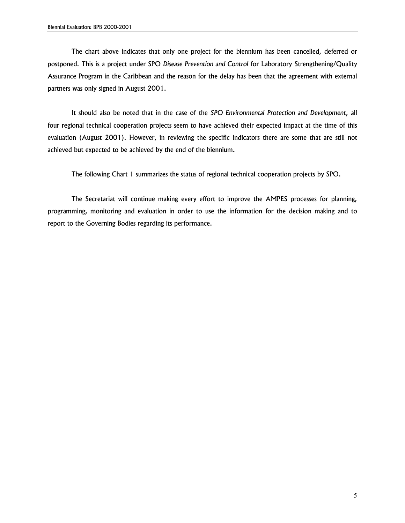The chart above indicates that only one project for the biennium has been cancelled, deferred or postponed. This is a project under SPO *Disease Prevention and Control* for Laboratory Strengthening/Quality Assurance Program in the Caribbean and the reason for the delay has been that the agreement with external partners was only signed in August 2001.

It should also be noted that in the case of the *SPO Environmental Protection and Development*, all four regional technical cooperation projects seem to have achieved their expected impact at the time of this evaluation (August 2001). However, in reviewing the specific indicators there are some that are still not achieved but expected to be achieved by the end of the biennium.

The following Chart 1 summarizes the status of regional technical cooperation projects by SPO.

The Secretariat will continue making every effort to improve the AMPES processes for planning, programming, monitoring and evaluation in order to use the information for the decision making and to report to the Governing Bodies regarding its performance.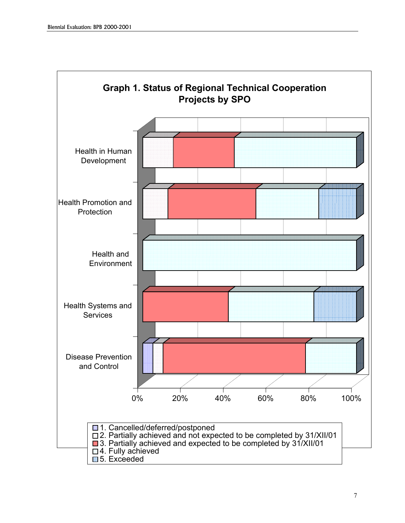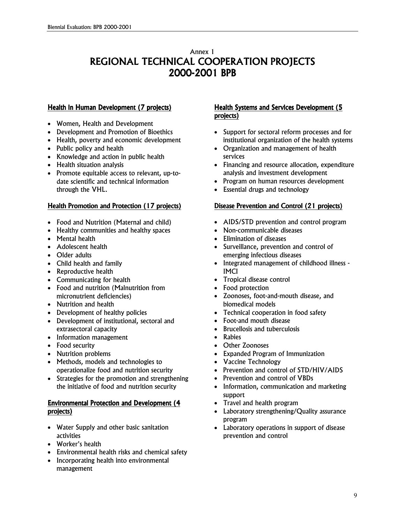### Annex 1 REGIONAL TECHNICAL COOPERATION PROJECTS 2000-2001 BPB

### Health in Human Development (7 projects)

- Women, Health and Development
- Development and Promotion of Bioethics
- Health, poverty and economic development
- Public policy and health
- Knowledge and action in public health
- Health situation analysis
- Promote equitable access to relevant, up-todate scientific and technical information through the VHL.

### Health Promotion and Protection (17 projects)

- Food and Nutrition (Maternal and child)
- Healthy communities and healthy spaces
- Mental health
- Adolescent health
- Older adults
- Child health and family
- Reproductive health
- Communicating for health
- Food and nutrition (Malnutrition from micronutrient deficiencies)
- Nutrition and health
- Development of healthy policies
- Development of institutional, sectoral and extrasectoral capacity
- Information management
- Food security
- Nutrition problems
- Methods, models and technologies to operationalize food and nutrition security
- Strategies for the promotion and strengthening the initiative of food and nutrition security

### Environmental Protection and Development (4 projects)

- Water Supply and other basic sanitation activities
- Worker's health
- Environmental health risks and chemical safety
- Incorporating health into environmental management

### Health Systems and Services Development (5 projects)

- Support for sectoral reform processes and for institutional organization of the health systems
- Organization and management of health services
- Financing and resource allocation, expenditure analysis and investment development
- Program on human resources development
- Essential drugs and technology

### Disease Prevention and Control (21 projects)

- AIDS/STD prevention and control program
- Non-communicable diseases
- Elimination of diseases
- Surveillance, prevention and control of emerging infectious diseases
- Integrated management of childhood illness IMCI
- Tropical disease control
- Food protection
- Zoonoses, foot-and-mouth disease, and biomedical models
- Technical cooperation in food safety
- Foot-and mouth disease
- Brucellosis and tuberculosis
- Rabies
- Other Zoonoses
- Expanded Program of Immunization
- Vaccine Technology
- Prevention and control of STD/HIV/AIDS
- Prevention and control of VBDs
- Information, communication and marketing support
- Travel and health program
- Laboratory strengthening/Quality assurance program
- Laboratory operations in support of disease prevention and control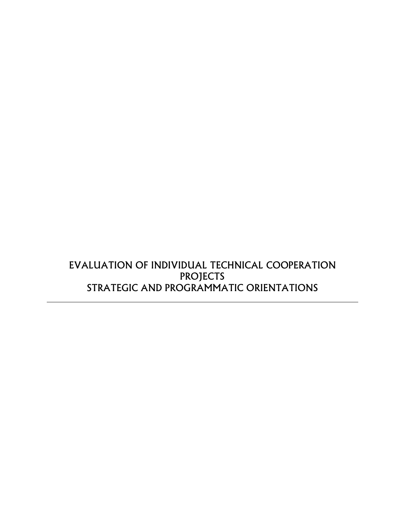# EVALUATION OF INDIVIDUAL TECHNICAL COOPERATION PROJECTS STRATEGIC AND PROGRAMMATIC ORIENTATIONS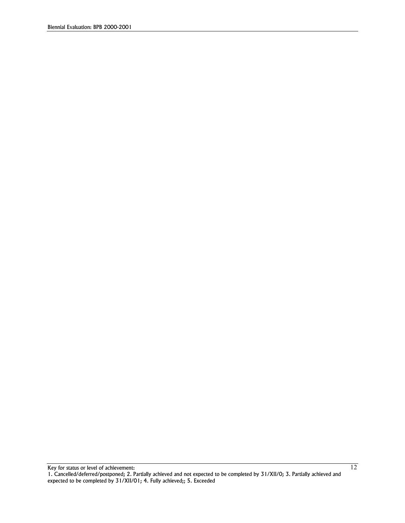Key for status or level of achievement: 1. Cancelled/deferred/postponed; 2. Partially achieved and not expected to be completed by 31/XII/0; 3. Partially achieved and expected to be completed by 31/XII/01; 4. Fully achieved;; 5. Exceeded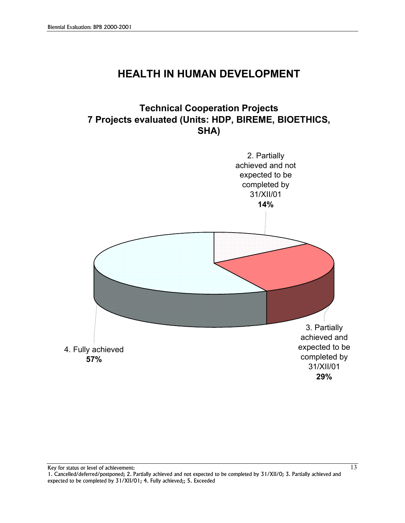### **Technical Cooperation Projects 7 Projects evaluated (Units: HDP, BIREME, BIOETHICS, SHA)**



1. Cancelled/deferred/postponed; 2. Partially achieved and not expected to be completed by 31/XII/0; 3. Partially achieved and expected to be completed by 31/XII/01; 4. Fully achieved;; 5. Exceeded

13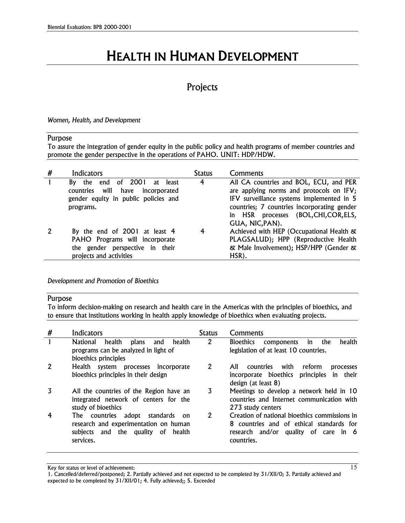# HEALTH IN HUMAN DEVELOPMENT

### Projects

### *Women, Health, and Development*

### Purpose

To assure the integration of gender equity in the public policy and health programs of member countries and promote the gender perspective in the operations of PAHO. UNIT: HDP/HDW.

| # | Indicators                                                                                                                       | <b>Status</b> | Comments                                                                                                                                                                                                                                   |
|---|----------------------------------------------------------------------------------------------------------------------------------|---------------|--------------------------------------------------------------------------------------------------------------------------------------------------------------------------------------------------------------------------------------------|
|   | end of 2001 at least<br>By the<br>will<br>have<br>incorporated<br>countries<br>gender equity in public policies and<br>programs. | 4             | All CA countries and BOL, ECU, and PER<br>are applying norms and protocols on IFV;<br>IFV surveillance systems implemented in 5<br>countries; 7 countries incorporating gender<br>in HSR processes (BOL, CHI, COR, ELS,<br>GUA, NIC, PAN). |
| 2 | By the end of 2001 at least 4<br>PAHO Programs will incorporate<br>the gender perspective in their<br>projects and activities    | 4             | Achieved with HEP (Occupational Health &<br>PLAGSALUD); HPP (Reproductive Health<br>& Male Involvement); HSP/HPP (Gender &<br>HSR).                                                                                                        |

### *Development and Promotion of Bioethics*

### Purpose

To inform decision-making on research and health care in the Americas with the principles of bioethics, and to ensure that institutions working in health apply knowledge of bioethics when evaluating projects.

| #            | <b>Indicators</b>                                                                                                                     | <b>Status</b> | Comments                                                                                                                                        |
|--------------|---------------------------------------------------------------------------------------------------------------------------------------|---------------|-------------------------------------------------------------------------------------------------------------------------------------------------|
| $\mathbf{1}$ | <b>National</b><br>health<br>plans<br>health<br>and<br>programs can be analyzed in light of<br>bioethics principles                   | $\mathbf{2}$  | components in the<br>health<br><b>Bioethics</b><br>legislation of at least 10 countries.                                                        |
| 2            | Health system processes incorporate<br>bioethics principles in their design                                                           | 2             | reform<br>countries<br>with<br>All<br>processes<br>incorporate bioethics principles in their<br>design (at least 8)                             |
| 3            | All the countries of the Region have an<br>integrated network of centers for the<br>study of bioethics                                | 3             | Meetings to develop a network held in 10<br>countries and Internet communication with<br>273 study centers                                      |
| 4            | The countries<br>adopt<br>standards<br>on<br>research and experimentation on human<br>subjects and the quality of health<br>services. | 2             | Creation of national bioethics commissions in<br>8 countries and of ethical standards for<br>research and/or quality of care in 6<br>countries. |

Key for status or level of achievement:

<sup>1.</sup> Cancelled/deferred/postponed; 2. Partially achieved and not expected to be completed by 31/XII/0; 3. Partially achieved and expected to be completed by 31/XII/01; 4. Fully achieved;; 5. Exceeded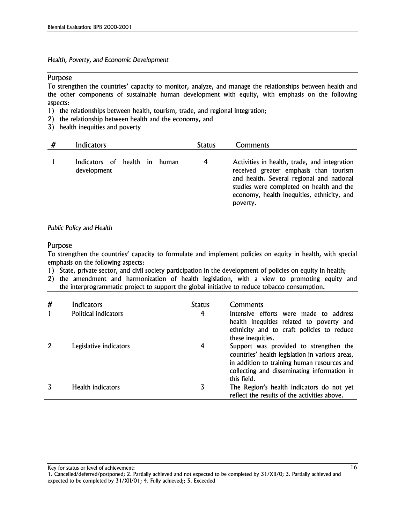*Health, Poverty, and Economic Development*

### Purpose

To strengthen the countries' capacity to monitor, analyze, and manage the relationships between health and the other components of sustainable human development with equity, with emphasis on the following aspects:

1) the relationships between health, tourism, trade, and regional integration;

- 2) the relationship between health and the economy, and
- 3) health inequities and poverty

| # | Indicators                                      | <b>Status</b> | Comments                                                                                                                                                                                                                                  |
|---|-------------------------------------------------|---------------|-------------------------------------------------------------------------------------------------------------------------------------------------------------------------------------------------------------------------------------------|
|   | Indicators of health in<br>human<br>development | 4             | Activities in health, trade, and integration<br>received greater emphasis than tourism<br>and health. Several regional and national<br>studies were completed on health and the<br>economy, health inequities, ethnicity, and<br>poverty. |

### *Public Policy and Health*

### Purpose

To strengthen the countries' capacity to formulate and implement policies on equity in health, with special emphasis on the following aspects:

1) State, private sector, and civil society participation in the development of policies on equity in health;

2) the amendment and harmonization of health legislation, with a view to promoting equity and the interprogrammatic project to support the global initiative to reduce tobacco consumption.

| # | Indicators             | <b>Status</b> | Comments                                                                                                                                                                                               |
|---|------------------------|---------------|--------------------------------------------------------------------------------------------------------------------------------------------------------------------------------------------------------|
|   | Political indicators   | 4             | Intensive efforts were made to address<br>health inequities related to poverty and<br>ethnicity and to craft policies to reduce<br>these inequities.                                                   |
|   | Legislative indicators | 4             | Support was provided to strengthen the<br>countries' health legislation in various areas,<br>in addition to training human resources and<br>collecting and disseminating information in<br>this field. |
|   | Health indicators      | 3             | The Region's health indicators do not yet<br>reflect the results of the activities above.                                                                                                              |

<sup>1.</sup> Cancelled/deferred/postponed; 2. Partially achieved and not expected to be completed by 31/XII/0; 3. Partially achieved and expected to be completed by 31/XII/01; 4. Fully achieved;; 5. Exceeded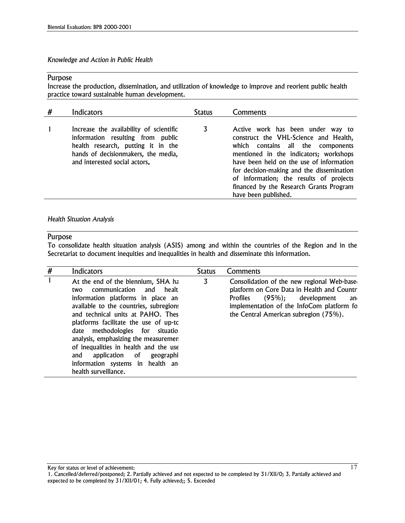*Knowledge and Action in Public Health*

### Purpose

Increase the production, dissemination, and utilization of knowledge to improve and reorient public health practice toward sustainable human development.

| # | Indicators                                                                                                                                                                                  | <b>Status</b> | Comments                                                                                                                                                                                                                                                                                                                                                         |
|---|---------------------------------------------------------------------------------------------------------------------------------------------------------------------------------------------|---------------|------------------------------------------------------------------------------------------------------------------------------------------------------------------------------------------------------------------------------------------------------------------------------------------------------------------------------------------------------------------|
|   | Increase the availability of scientific<br>information resulting from public<br>health research, putting it in the<br>hands of decision makers, the media,<br>and interested social actors. | 3             | Active work has been under way to<br>construct the VHL-Science and Health,<br>which contains all the components<br>mentioned in the indicators; workshops<br>have been held on the use of information<br>for decision-making and the dissemination<br>of information; the results of projects<br>financed by the Research Grants Program<br>have been published. |

### *Health Situation Analysis*

### Purpose

To consolidate health situation analysis (ASIS) among and within the countries of the Region and in the Secretariat to document inequities and inequalities in health and disseminate this information.

| # | Indicators                                                                                                                                                                                                                                                                                                                                                                                                                                              | <b>Status</b> | Comments                                                                                                                                                                                                                                          |
|---|---------------------------------------------------------------------------------------------------------------------------------------------------------------------------------------------------------------------------------------------------------------------------------------------------------------------------------------------------------------------------------------------------------------------------------------------------------|---------------|---------------------------------------------------------------------------------------------------------------------------------------------------------------------------------------------------------------------------------------------------|
|   | At the end of the biennium, SHA ha<br>communication and<br>healt<br>two<br>information platforms in place an<br>available to the countries, subregions<br>and technical units at PAHO. Thes<br>platforms facilitate the use of up-to<br>date methodologies for situatio<br>analysis, emphasizing the measuremen<br>of inequalities in health and the use<br>application of geographi<br>and<br>information systems in health an<br>health surveillance. | 3             | Consolidation of the new regional Web-base<br>platform on Core Data in Health and Countr<br>$(95\%)$ ;<br>development<br><b>Profiles</b><br>an <sub>'</sub><br>implementation of the InfoCom platform fo<br>the Central American subregion (75%). |

<sup>1.</sup> Cancelled/deferred/postponed; 2. Partially achieved and not expected to be completed by 31/XII/0; 3. Partially achieved and expected to be completed by 31/XII/01; 4. Fully achieved;; 5. Exceeded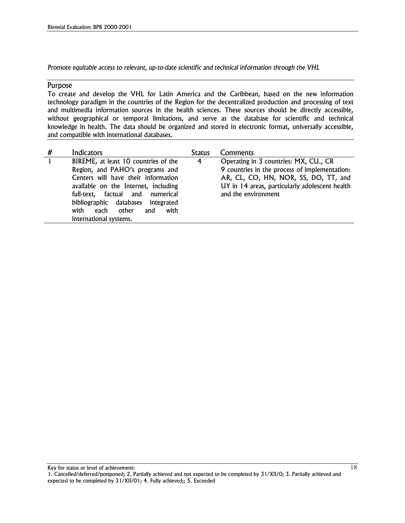*Promote equitable access to relevant, up-to-date scientific and technical information through the VHL*

### Purpose

To create and develop the VHL for Latin America and the Caribbean, based on the new information technology paradigm in the countries of the Region for the decentralized production and processing of text and multimedia information sources in the health sciences. These sources should be directly accessible, without geographical or temporal limitations, and serve as the database for scientific and technical knowledge in health. The data should be organized and stored in electronic format, universally accessible, and compatible with international databases.

| #              | <b>Indicators</b>                                                                                                                                                                                                                                                                                  | <b>Status</b> | Comments                                                                                                                                                                                                |
|----------------|----------------------------------------------------------------------------------------------------------------------------------------------------------------------------------------------------------------------------------------------------------------------------------------------------|---------------|---------------------------------------------------------------------------------------------------------------------------------------------------------------------------------------------------------|
| $\overline{1}$ | BIREME, at least 10 countries of the<br>Region, and PAHO's programs and<br>Centers will have their information<br>available on the Internet, including<br>full-text, factual and numerical<br>bibliographic databases integrated<br>with<br>with<br>other<br>each<br>and<br>international systems. | 4             | Operating in 3 countries: MX, CU., CR<br>9 countries in the process of implementation:<br>AR, CL, CO, HN, NOR, SS, DO, TT, and<br>UY in 14 areas, particularly adolescent health<br>and the environment |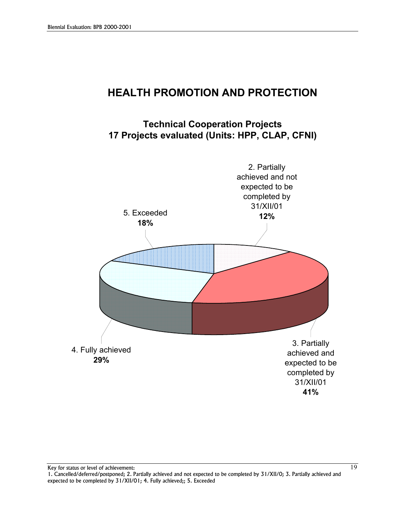# **HEALTH PROMOTION AND PROTECTION**

**Technical Cooperation Projects 17 Projects evaluated (Units: HPP, CLAP, CFNI)**



<sup>1.</sup> Cancelled/deferred/postponed; 2. Partially achieved and not expected to be completed by 31/XII/0; 3. Partially achieved and expected to be completed by 31/XII/01; 4. Fully achieved;; 5. Exceeded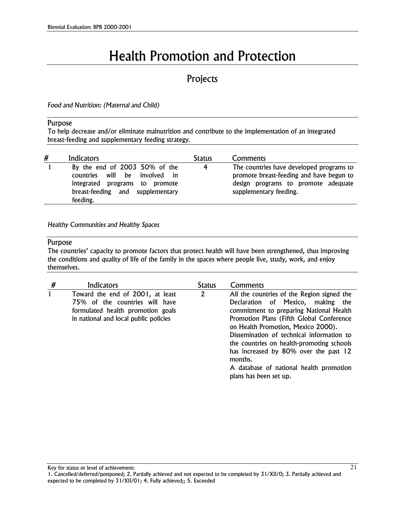# Health Promotion and Protection

### Projects

*Food and Nutrition: (Maternal and Child)*

### Purpose

To help decrease and/or eliminate malnutrition and contribute to the implementation of an integrated breast-feeding and supplementary feeding strategy*.*

| # | Indicators                                                                                                                                             | <b>Status</b> | Comments                                                                                                                                              |
|---|--------------------------------------------------------------------------------------------------------------------------------------------------------|---------------|-------------------------------------------------------------------------------------------------------------------------------------------------------|
|   | By the end of 2003 50% of the<br>will be<br>involved in<br>countries<br>integrated programs to promote<br>breast-feeding and supplementary<br>feeding. | 4             | The countries have developed programs to<br>promote breast-feeding and have begun to<br>design programs to promote adequate<br>supplementary feeding. |

*Healthy Communities and Healthy Spaces*

### Purpose

The countries' capacity to promote factors that protect health will have been strengthened, thus improving the conditions and quality of life of the family in the spaces where people live, study, work, and enjoy themselves.

| # | Indicators                                                                                                                                       | <b>Status</b> | Comments                                                                                                                                                                                                                                                                                                                                                                                                                           |
|---|--------------------------------------------------------------------------------------------------------------------------------------------------|---------------|------------------------------------------------------------------------------------------------------------------------------------------------------------------------------------------------------------------------------------------------------------------------------------------------------------------------------------------------------------------------------------------------------------------------------------|
| 1 | Toward the end of 2001, at least<br>75% of the countries will have<br>formulated health promotion goals<br>in national and local public policies | 2             | All the countries of the Region signed the<br>Declaration of Mexico, making<br>the<br>commitment to preparing National Health<br>Promotion Plans (Fifth Global Conference<br>on Health Promotion, Mexico 2000).<br>Dissemination of technical information to<br>the countries on health-promoting schools<br>has increased by 80% over the past 12<br>months.<br>A database of national health promotion<br>plans has been set up. |

Key for status or level of achievement:

21

<sup>1.</sup> Cancelled/deferred/postponed; 2. Partially achieved and not expected to be completed by 31/XII/0; 3. Partially achieved and expected to be completed by 31/XII/01; 4. Fully achieved;; 5. Exceeded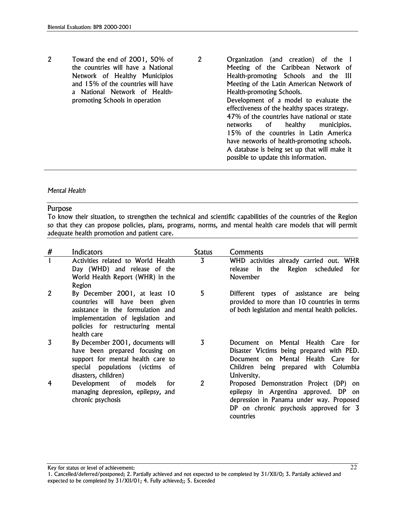2 Toward the end of 2001, 50% of the countries will have a National Network of Healthy Municipios and 15% of the countries will have a National Network of Healthpromoting Schools in operation 2 Organization (and creation) of the I Meeting of the Caribbean Network of Health-promoting Schools and the III Meeting of the Latin American Network of Health-promoting Schools. Development of a model to evaluate the effectiveness of the healthy spaces strategy. 47% of the countries have national or state networks of healthy municipios. 15% of the countries in Latin America have networks of health-promoting schools. A database is being set up that will make it possible to update this information.

### *Mental Health*

### Purpose

To know their situation, to strengthen the technical and scientific capabilities of the countries of the Region so that they can propose policies, plans, programs, norms, and mental health care models that will permit adequate health promotion and patient care.

| # | Indicators                                                                                                                                                                                    | <b>Status</b> | Comments                                                                                                                                                                              |
|---|-----------------------------------------------------------------------------------------------------------------------------------------------------------------------------------------------|---------------|---------------------------------------------------------------------------------------------------------------------------------------------------------------------------------------|
| 1 | Activities related to World Health<br>Day (WHD) and release of the<br>World Health Report (WHR) in the<br>Region                                                                              | 3             | WHD activities already carried out. WHR<br>the<br>Region<br>scheduled<br>release<br>in<br>for<br><b>November</b>                                                                      |
| 2 | By December 2001, at least 10<br>countries will have been given<br>assistance in the formulation and<br>implementation of legislation and<br>policies for restructuring mental<br>health care | 5             | Different types of assistance are being<br>provided to more than 10 countries in terms<br>of both legislation and mental health policies.                                             |
| 3 | By December 2001, documents will<br>have been prepared focusing on<br>support for mental health care to<br>special populations<br>(victims<br>.of<br>disasters, children)                     | 3             | Document on Mental Health Care for<br>Disaster Victims being prepared with PED.<br>Document on Mental Health<br>Care for<br>Children being prepared with Columbia<br>University.      |
| 4 | Development<br>of<br>models<br>for<br>managing depression, epilepsy, and<br>chronic psychosis                                                                                                 | $\mathbf{2}$  | Proposed Demonstration Project (DP) on<br>epilepsy in Argentina approved. DP<br>on<br>depression in Panama under way. Proposed<br>DP on chronic psychosis approved for 3<br>countries |

<sup>1.</sup> Cancelled/deferred/postponed; 2. Partially achieved and not expected to be completed by 31/XII/0; 3. Partially achieved and expected to be completed by 31/XII/01; 4. Fully achieved;; 5. Exceeded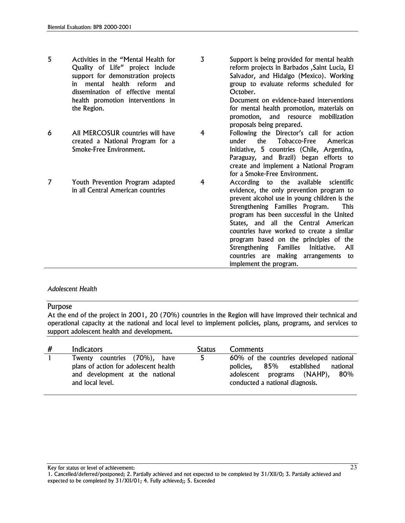| 5 | Activities in the "Mental Health for<br>Quality of Life" project include<br>support for demonstration projects<br>mental health reform<br>and<br>in<br>dissemination of effective mental<br>health promotion interventions in<br>the Region. | $\overline{3}$ | Support is being provided for mental health<br>reform projects in Barbados , Saint Lucia, El<br>Salvador, and Hidalgo (Mexico). Working<br>group to evaluate reforms scheduled for<br>October.<br>Document on evidence-based interventions<br>for mental health promotion, materials on<br>mobilization<br>promotion, and resource<br>proposals being prepared.                                                                                                                      |
|---|----------------------------------------------------------------------------------------------------------------------------------------------------------------------------------------------------------------------------------------------|----------------|--------------------------------------------------------------------------------------------------------------------------------------------------------------------------------------------------------------------------------------------------------------------------------------------------------------------------------------------------------------------------------------------------------------------------------------------------------------------------------------|
| 6 | All MERCOSUR countries will have<br>created a National Program for a<br>Smoke-Free Environment.                                                                                                                                              | 4              | Following the Director's call for action<br>Tobacco-Free<br>under<br>the<br>Americas<br>Initiative, 5 countries (Chile, Argentina,<br>Paraguay, and Brazil) began efforts to<br>create and implement a National Program<br>for a Smoke-Free Environment.                                                                                                                                                                                                                             |
| 7 | Youth Prevention Program adapted<br>in all Central American countries                                                                                                                                                                        | 4              | According to the available<br>scientific<br>evidence, the only prevention program to<br>prevent alcohol use in young children is the<br>Strengthening Families Program.<br><b>This</b><br>program has been successful in the United<br>States, and all the Central American<br>countries have worked to create a similar<br>program based on the principles of the<br>Strengthening Families<br>Initiative.<br>All<br>countries are making arrangements to<br>implement the program. |

### *Adolescent Health*

### Purpose

At the end of the project in 2001, 20 (70%) countries in the Region will have improved their technical and operational capacity at the national and local level to implement policies, plans, programs, and services to support adolescent health and development*.*

| # | Indicators                                                                                                                   | <b>Status</b> | <b>Comments</b>                                                                                                                                           |
|---|------------------------------------------------------------------------------------------------------------------------------|---------------|-----------------------------------------------------------------------------------------------------------------------------------------------------------|
|   | Twenty countries (70%), have<br>plans of action for adolescent health<br>and development at the national<br>and local level. | 5.            | 60% of the countries developed national<br>policies, 85% established<br>national<br>80%<br>adolescent programs (NAHP),<br>conducted a national diagnosis. |

Key for status or level of achievement:

1. Cancelled/deferred/postponed; 2. Partially achieved and not expected to be completed by 31/XII/0; 3. Partially achieved and expected to be completed by 31/XII/01; 4. Fully achieved;; 5. Exceeded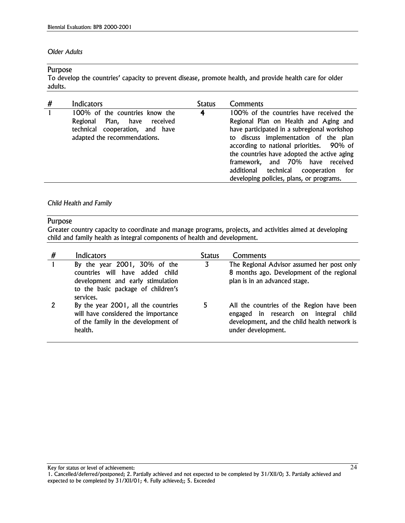### *Older Adults*

### Purpose

To develop the countries' capacity to prevent disease, promote health, and provide health care for older adults.

| # | Indicators                                                                                                                        | <b>Status</b>  | Comments                                                                                                                                                                                                                                                                                                                                                                                       |
|---|-----------------------------------------------------------------------------------------------------------------------------------|----------------|------------------------------------------------------------------------------------------------------------------------------------------------------------------------------------------------------------------------------------------------------------------------------------------------------------------------------------------------------------------------------------------------|
|   | 100% of the countries know the<br>Regional Plan, have received<br>technical cooperation, and have<br>adapted the recommendations. | $\overline{4}$ | 100% of the countries have received the<br>Regional Plan on Health and Aging and<br>have participated in a subregional workshop<br>to discuss implementation of the plan<br>according to national priorities. 90% of<br>the countries have adopted the active aging<br>framework, and 70% have received<br>technical cooperation for<br>additional<br>developing policies, plans, or programs. |

### *Child Health and Family*

### Purpose

Greater country capacity to coordinate and manage programs, projects, and activities aimed at developing child and family health as integral components of health and development.

| # | Indicators                                                                                                                                              | <b>Status</b> | Comments                                                                                                                                                 |
|---|---------------------------------------------------------------------------------------------------------------------------------------------------------|---------------|----------------------------------------------------------------------------------------------------------------------------------------------------------|
|   | By the year 2001, 30% of the<br>countries will have added child<br>development and early stimulation<br>to the basic package of children's<br>services. | 3             | The Regional Advisor assumed her post only<br>8 months ago. Development of the regional<br>plan is in an advanced stage.                                 |
|   | By the year 2001, all the countries<br>will have considered the importance<br>of the family in the development of<br>health.                            | 5             | All the countries of the Region have been<br>engaged in research on integral child<br>development, and the child health network is<br>under development. |

<sup>1.</sup> Cancelled/deferred/postponed; 2. Partially achieved and not expected to be completed by 31/XII/0; 3. Partially achieved and expected to be completed by 31/XII/01; 4. Fully achieved;; 5. Exceeded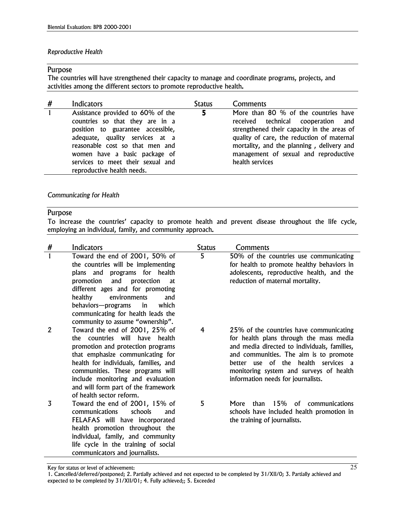### *Reproductive Health*

### Purpose

The countries will have strengthened their capacity to manage and coordinate programs, projects, and activities among the different sectors to promote reproductive health*.*

| # | <b>Indicators</b>                                                                                                                                                                                                                                                                   | <b>Status</b> | Comments                                                                                                                                                                                                                                                                         |
|---|-------------------------------------------------------------------------------------------------------------------------------------------------------------------------------------------------------------------------------------------------------------------------------------|---------------|----------------------------------------------------------------------------------------------------------------------------------------------------------------------------------------------------------------------------------------------------------------------------------|
|   | Assistance provided to 60% of the<br>countries so that they are in a<br>position to guarantee accessible,<br>adequate, quality services at a<br>reasonable cost so that men and<br>women have a basic package of<br>services to meet their sexual and<br>reproductive health needs. | 5             | More than 80 % of the countries have<br>received technical cooperation and<br>strengthened their capacity in the areas of<br>quality of care, the reduction of maternal<br>mortality, and the planning, delivery and<br>management of sexual and reproductive<br>health services |

### *Communicating for Health*

### Purpose

To increase the countries' capacity to promote health and prevent disease throughout the life cycle, employing an individual, family, and community approach*.*

| #                | Indicators                                                                                                                                                                                                                                                                                                                                | <b>Status</b> | Comments                                                                                                                                                                                                                                                                                             |
|------------------|-------------------------------------------------------------------------------------------------------------------------------------------------------------------------------------------------------------------------------------------------------------------------------------------------------------------------------------------|---------------|------------------------------------------------------------------------------------------------------------------------------------------------------------------------------------------------------------------------------------------------------------------------------------------------------|
|                  | Toward the end of 2001, 50% of<br>the countries will be implementing<br>plans and programs for health<br>protection<br>promotion<br>and<br><b>at</b><br>different ages and for promoting<br>healthy<br>environments<br>and<br>behaviors-programs<br>in<br>which<br>communicating for health leads the<br>community to assume "ownership". | 5             | 50% of the countries use communicating<br>for health to promote healthy behaviors in<br>adolescents, reproductive health, and the<br>reduction of maternal mortality.                                                                                                                                |
| $\boldsymbol{2}$ | Toward the end of 2001, 25% of<br>the countries will have health<br>promotion and protection programs<br>that emphasize communicating for<br>health for individuals, families, and<br>communities. These programs will<br>include monitoring and evaluation<br>and will form part of the framework<br>of health sector reform.            | 4             | 25% of the countries have communicating<br>for health plans through the mass media<br>and media directed to individuals, families,<br>and communities. The aim is to promote<br>better use of the health services a<br>monitoring system and surveys of health<br>information needs for journalists. |
| 3                | Toward the end of 2001, 15% of<br>schools<br>communications<br>and<br>FELAFAS will have incorporated<br>health promotion throughout the<br>individual, family, and community<br>life cycle in the training of social<br>communicators and journalists.                                                                                    | 5             | than 15%<br>of communications<br>More<br>schools have included health promotion in<br>the training of journalists.                                                                                                                                                                                   |

Key for status or level of achievement:

1. Cancelled/deferred/postponed; 2. Partially achieved and not expected to be completed by 31/XII/0; 3. Partially achieved and expected to be completed by 31/XII/01; 4. Fully achieved;; 5. Exceeded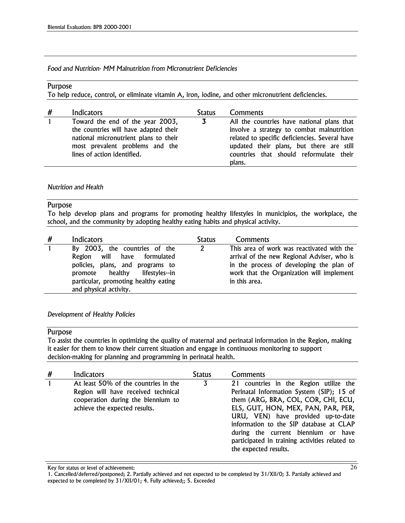*Food and Nutrition- MM Malnutrition from Micronutrient Deficiencies*

### Purpose

To help reduce, control, or eliminate vitamin A, iron, iodine, and other micronutrient deficiencies.

| # | Indicators                                                                                                                                       | <b>Status</b> | Comments                                                                                                                                                                                     |
|---|--------------------------------------------------------------------------------------------------------------------------------------------------|---------------|----------------------------------------------------------------------------------------------------------------------------------------------------------------------------------------------|
|   | Toward the end of the year 2003,                                                                                                                 |               | All the countries have national plans that                                                                                                                                                   |
|   | the countries will have adapted their<br>national micronutrient plans to their<br>most prevalent problems and the<br>lines of action identified. |               | involve a strategy to combat malnutrition<br>related to specific deficiencies. Several have<br>updated their plans, but there are still<br>countries that should reformulate their<br>plans. |

### *Nutrition and Health*

### Purpose

To help develop plans and programs for promoting healthy lifestyles in municipios, the workplace, the school, and the community by adopting healthy eating habits and physical activity.

| # | Indicators                                                                                                                                                                                                 | <b>Status</b> | Comments                                                                                                                                                                                            |
|---|------------------------------------------------------------------------------------------------------------------------------------------------------------------------------------------------------------|---------------|-----------------------------------------------------------------------------------------------------------------------------------------------------------------------------------------------------|
|   | By 2003, the countries of the<br>will have formulated<br>Region<br>policies, plans, and programs to<br>lifestyles--in<br>promote healthy<br>particular, promoting healthy eating<br>and physical activity. | 2             | This area of work was reactivated with the<br>arrival of the new Regional Adviser, who is<br>in the process of developing the plan of<br>work that the Organization will implement<br>in this area. |

### *Development of Healthy Policies*

### Purpose

To assist the countries in optimizing the quality of maternal and perinatal information in the Region, making it easier for them to know their current situation and engage in continuous monitoring to support decision-making for planning and programming in perinatal health.

| #            | Indicators                                                                                                                                         | <b>Status</b> | Comments                                                                                                                                                                                                                                                                                                                                                            |
|--------------|----------------------------------------------------------------------------------------------------------------------------------------------------|---------------|---------------------------------------------------------------------------------------------------------------------------------------------------------------------------------------------------------------------------------------------------------------------------------------------------------------------------------------------------------------------|
| $\mathbf{1}$ | At least 50% of the countries in the<br>Region will have received technical<br>cooperation during the biennium to<br>achieve the expected results. | 3             | 21 countries in the Region utilize the<br>Perinatal Information System (SIP); 15 of<br>them (ARG, BRA, COL, COR, CHI, ECU,<br>ELS, GUT, HON, MEX, PAN, PAR, PER,<br>URU, VEN) have provided up-to-date<br>information to the SIP database at CLAP<br>during the current biennium or have<br>participated in training activities related to<br>the expected results. |

<sup>1.</sup> Cancelled/deferred/postponed; 2. Partially achieved and not expected to be completed by 31/XII/0; 3. Partially achieved and expected to be completed by 31/XII/01; 4. Fully achieved;; 5. Exceeded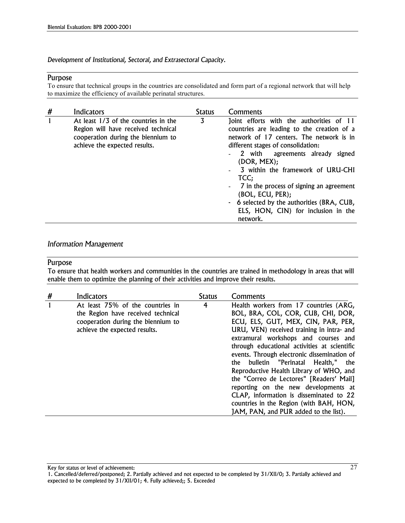*Development of Institutional, Sectoral, and Extrasectoral Capacity.*

### Purpose

To ensure that technical groups in the countries are consolidated and form part of a regional network that will help to maximize the efficiency of available perinatal structures.

| # | Indicators                                                                                                                                         | <b>Status</b> | Comments                                                                                                                                                                                                                                                                                                                                                                                                                                      |
|---|----------------------------------------------------------------------------------------------------------------------------------------------------|---------------|-----------------------------------------------------------------------------------------------------------------------------------------------------------------------------------------------------------------------------------------------------------------------------------------------------------------------------------------------------------------------------------------------------------------------------------------------|
|   | At least 1/3 of the countries in the<br>Region will have received technical<br>cooperation during the biennium to<br>achieve the expected results. | 3             | Joint efforts with the authorities of 11<br>countries are leading to the creation of a<br>network of 17 centers. The network is in<br>different stages of consolidation:<br>- 2 with agreements already signed<br>(DOR, MEX);<br>3 within the framework of URU-CHI<br>TCC:<br>- 7 in the process of signing an agreement<br>(BOL, ECU, PER);<br>- 6 selected by the authorities (BRA, CUB,<br>ELS, HON, CIN) for inclusion in the<br>network. |

### *Information Management*

### Purpose

To ensure that health workers and communities in the countries are trained in methodology in areas that will enable them to optimize the planning of their activities and improve their results.

| # | Indicators                                                                                                                                    | <b>Status</b> | Comments                                                                                                                                                                                                                                                                                                                                                                                                                                                                                                                                                                                                     |
|---|-----------------------------------------------------------------------------------------------------------------------------------------------|---------------|--------------------------------------------------------------------------------------------------------------------------------------------------------------------------------------------------------------------------------------------------------------------------------------------------------------------------------------------------------------------------------------------------------------------------------------------------------------------------------------------------------------------------------------------------------------------------------------------------------------|
|   | At least 75% of the countries in<br>the Region have received technical<br>cooperation during the biennium to<br>achieve the expected results. | 4             | Health workers from 17 countries (ARG,<br>BOL, BRA, COL, COR, CUB, CHI, DOR,<br>ECU, ELS, GUT, MEX, CIN, PAR, PER,<br>URU, VEN) received training in intra- and<br>extramural workshops and courses and<br>through educational activities at scientific<br>events. Through electronic dissemination of<br>the bulletin "Perinatal Health," the<br>Reproductive Health Library of WHO, and<br>the "Correo de Lectores" [Readers' Mail]<br>reporting on the new developments at<br>CLAP, information is disseminated to 22<br>countries in the Region (with BAH, HON,<br>JAM, PAN, and PUR added to the list). |

Key for status or level of achievement:

1. Cancelled/deferred/postponed; 2. Partially achieved and not expected to be completed by 31/XII/0; 3. Partially achieved and expected to be completed by 31/XII/01; 4. Fully achieved;; 5. Exceeded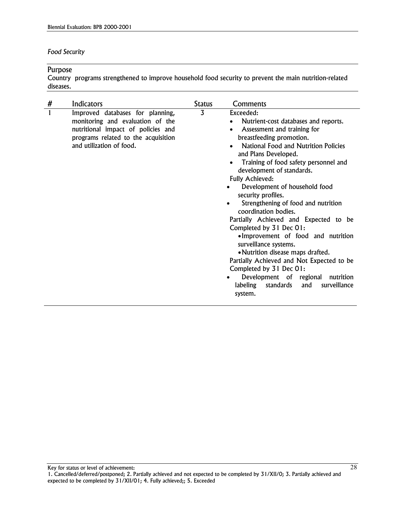### *Food Security*

### Purpose

Country programs strengthened to improve household food security to prevent the main nutrition-related diseases.

| # | Indicators                                                                                                                                                                    | <b>Status</b> | Comments                                                                                                                                                                                                                                                                                                                                                                                                                                                                                                                                                                                                                                                                                                                                                                                                               |
|---|-------------------------------------------------------------------------------------------------------------------------------------------------------------------------------|---------------|------------------------------------------------------------------------------------------------------------------------------------------------------------------------------------------------------------------------------------------------------------------------------------------------------------------------------------------------------------------------------------------------------------------------------------------------------------------------------------------------------------------------------------------------------------------------------------------------------------------------------------------------------------------------------------------------------------------------------------------------------------------------------------------------------------------------|
| 1 | Improved databases for planning,<br>monitoring and evaluation of the<br>nutritional impact of policies and<br>programs related to the acquisition<br>and utilization of food. | 3             | Exceeded:<br>Nutrient-cost databases and reports.<br>$\bullet$<br>Assessment and training for<br>$\bullet$<br>breastfeeding promotion.<br>National Food and Nutrition Policies<br>$\bullet$<br>and Plans Developed.<br>Training of food safety personnel and<br>$\bullet$<br>development of standards.<br><b>Fully Achieved:</b><br>Development of household food<br>security profiles.<br>Strengthening of food and nutrition<br>$\bullet$<br>coordination bodies.<br>Partially Achieved and Expected to be<br>Completed by 31 Dec 01:<br>•Improvement of food and nutrition<br>surveillance systems.<br>• Nutrition disease maps drafted.<br>Partially Achieved and Not Expected to be<br>Completed by 31 Dec 01:<br>Development of regional<br>nutrition<br>surveillance<br>labeling<br>standards<br>and<br>system. |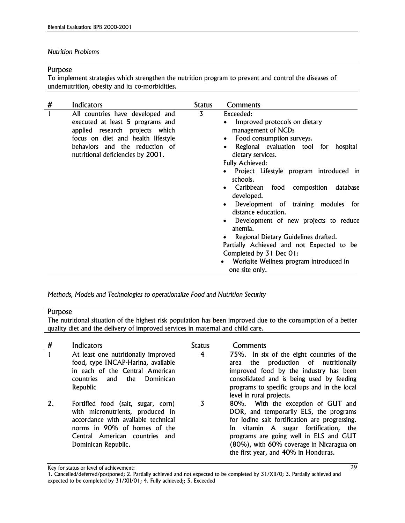### *Nutrition Problems*

### Purpose

To implement strategies which strengthen the nutrition program to prevent and control the diseases of undernutrition, obesity and its co-morbidities.

| # | Indicators                                                                                                                                                                                                           | <b>Status</b> | Comments                                                                                                                                                                                                                                                                                                                                                                                                                                                                                                                                                                                                                                                                             |
|---|----------------------------------------------------------------------------------------------------------------------------------------------------------------------------------------------------------------------|---------------|--------------------------------------------------------------------------------------------------------------------------------------------------------------------------------------------------------------------------------------------------------------------------------------------------------------------------------------------------------------------------------------------------------------------------------------------------------------------------------------------------------------------------------------------------------------------------------------------------------------------------------------------------------------------------------------|
| 1 | All countries have developed and<br>executed at least 5 programs and<br>applied research projects which<br>focus on diet and health lifestyle<br>behaviors and the reduction of<br>nutritional deficiencies by 2001. | 3             | Exceeded:<br>Improved protocols on dietary<br>$\bullet$<br>management of NCDs<br>Food consumption surveys.<br>$\bullet$<br>Regional evaluation tool for hospital<br>$\bullet$<br>dietary services.<br><b>Fully Achieved:</b><br>Project Lifestyle program introduced in<br>schools.<br>Caribbean<br>food composition<br>database<br>developed.<br>Development of training modules for<br>$\bullet$<br>distance education.<br>Development of new projects to reduce<br>$\bullet$<br>anemia.<br>Regional Dietary Guidelines drafted.<br>Partially Achieved and not Expected to be<br>Completed by 31 Dec 01:<br>Worksite Wellness program introduced in<br>$\bullet$<br>one site only. |

*Methods, Models and Technologies to operationalize Food and Nutrition Security*

### Purpose

The nutritional situation of the highest risk population has been improved due to the consumption of a better quality diet and the delivery of improved services in maternal and child care.

| #  | <b>Indicators</b>                                                                                                                                                                                      | <b>Status</b> | Comments                                                                                                                                                                                                                                                                                                 |
|----|--------------------------------------------------------------------------------------------------------------------------------------------------------------------------------------------------------|---------------|----------------------------------------------------------------------------------------------------------------------------------------------------------------------------------------------------------------------------------------------------------------------------------------------------------|
|    | At least one nutritionally improved<br>food, type INCAP-Harina, available<br>in each of the Central American<br>and the Dominican<br>countries<br>Republic                                             | 4             | 75%. In six of the eight countries of the<br>the production of nutritionally<br>area<br>improved food by the industry has been<br>consolidated and is being used by feeding<br>programs to specific groups and in the local<br>level in rural projects.                                                  |
| 2. | Fortified food (salt, sugar, corn)<br>with micronutrients, produced in<br>accordance with available technical<br>norms in 90% of homes of the<br>Central American countries and<br>Dominican Republic. | 3             | 80%. With the exception of GUT and<br>DOR, and temporarily ELS, the programs<br>for iodine salt fortification are progressing.<br>vitamin A sugar fortification, the<br>In<br>programs are going well in ELS and GUT<br>(80%), with 60% coverage in Nicaragua on<br>the first year, and 40% in Honduras. |

Key for status or level of achievement:

1. Cancelled/deferred/postponed; 2. Partially achieved and not expected to be completed by 31/XII/0; 3. Partially achieved and expected to be completed by 31/XII/01; 4. Fully achieved;; 5. Exceeded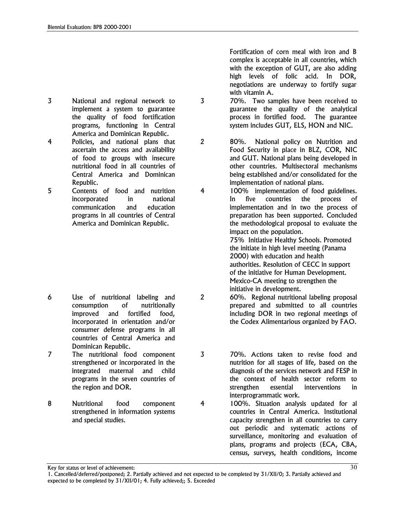- 3 National and regional network to implement a system to guarantee the quality of food fortification programs, functioning in Central America and Dominican Republic.
- 4 Policies, and national plans that ascertain the access and availability of food to groups with insecure nutritional food in all countries of Central America and Dominican Republic.
- 5 Contents of food and nutrition incorporated in national communication and education programs in all countries of Central America and Dominican Republic.

- 6 Use of nutritional labeling and consumption of nutritionally improved and fortified food, incorporated in orientation and/or consumer defense programs in all countries of Central America and Dominican Republic.
- 7 The nutritional food component strengthened or incorporated in the integrated maternal and child programs in the seven countries of the region and DOR.
- 8 Nutritional food component strengthened in information systems and special studies.

Fortification of corn meal with iron and B complex is acceptable in all countries, which with the exception of GUT, are also adding high levels of folic acid. In DOR, negotiations are underway to fortify sugar with vitamin A.

- 3 70%. Two samples have been received to guarantee the quality of the analytical process in fortified food. The guarantee system includes GUT, ELS, HON and NIC.
- 2 80%. National policy on Nutrition and Food Security in place in BLZ, COR, NIC and GUT. National plans being developed in other countries. Multisectoral mechanisms being established and/or consolidated for the implementation of national plans.
- 4 100% implementation of food guidelines. In five countries the process of implementation and in two the process of preparation has been supported. Concluded the methodological proposal to evaluate the impact on the population.

75% Initiative Healthy Schools. Promoted the initiate in high level meeting (Panama 2000) with education and health authorities. Resolution of CECC in support of the initiative for Human Development. Mexico-CA meeting to strengthen the initiative in development.

- 2 60%. Regional nutritional labeling proposal prepared and submitted to all countries including DOR in two regional meetings of the Codex Alimentarious organized by FAO.
- 3 70%. Actions taken to revise food and nutrition for all stages of life, based on the diagnosis of the services network and FESP in the context of health sector reform to strengthen essential interventions in interprogrammatic work.

4 100%. Situation analysis updated for al countries in Central America. Institutional capacity strengthen in all countries to carry out periodic and systematic actions of surveillance, monitoring and evaluation of plans, programs and projects (ECA, CBA, census, surveys, health conditions, income

<sup>1.</sup> Cancelled/deferred/postponed; 2. Partially achieved and not expected to be completed by 31/XII/0; 3. Partially achieved and expected to be completed by 31/XII/01; 4. Fully achieved;; 5. Exceeded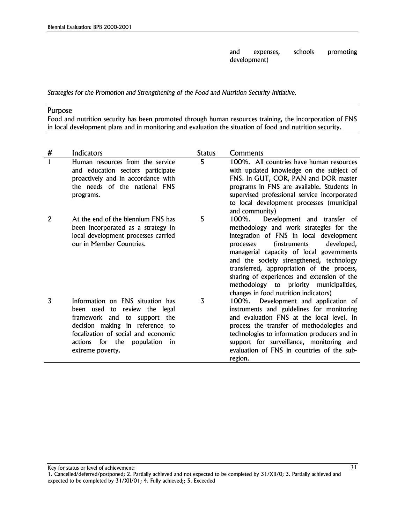and expenses, schools promoting development)

*Strategies for the Promotion and Strengthening of the Food and Nutrition Security Initiative.*

### Purpose

Food and nutrition security has been promoted through human resources training, the incorporation of FNS in local development plans and in monitoring and evaluation the situation of food and nutrition security.

| #              | Indicators                                                                                                                                                                                                                                 | <b>Status</b> | Comments                                                                                                                                                                                                                                                                                                                                                                                                                                                   |
|----------------|--------------------------------------------------------------------------------------------------------------------------------------------------------------------------------------------------------------------------------------------|---------------|------------------------------------------------------------------------------------------------------------------------------------------------------------------------------------------------------------------------------------------------------------------------------------------------------------------------------------------------------------------------------------------------------------------------------------------------------------|
|                | Human resources from the service<br>and education sectors participate<br>proactively and in accordance with<br>the needs of the national FNS<br>programs.                                                                                  | 5             | 100%. All countries have human resources<br>with updated knowledge on the subject of<br>FNS. In GUT, COR, PAN and DOR master<br>programs in FNS are available. Students in<br>supervised professional service incorporated<br>to local development processes (municipal<br>and community)                                                                                                                                                                  |
| $\overline{2}$ | At the end of the biennium FNS has<br>been incorporated as a strategy in<br>local development processes carried<br>our in Member Countries.                                                                                                | 5             | $100\%$ .<br>Development and transfer of<br>methodology and work strategies for the<br>integration of FNS in local development<br><i>(instruments)</i><br>developed.<br>processes<br>managerial capacity of local governments<br>and the society strengthened, technology<br>transferred, appropriation of the process,<br>sharing of experiences and extension of the<br>methodology to priority municipalities,<br>changes in food nutrition indicators) |
| 3              | Information on FNS situation has<br>been used to review the legal<br>framework and to<br>support the<br>decision making in reference to<br>focalization of social and economic<br>for the population<br>actions<br>-in<br>extreme poverty. | 3             | Development and application of<br>100%.<br>instruments and guidelines for monitoring<br>and evaluation FNS at the local level. In<br>process the transfer of methodologies and<br>technologies to information producers and in<br>support for surveillance, monitoring and<br>evaluation of FNS in countries of the sub-<br>region.                                                                                                                        |

Key for status or level of achievement:

31

<sup>1.</sup> Cancelled/deferred/postponed; 2. Partially achieved and not expected to be completed by 31/XII/0; 3. Partially achieved and expected to be completed by 31/XII/01; 4. Fully achieved;; 5. Exceeded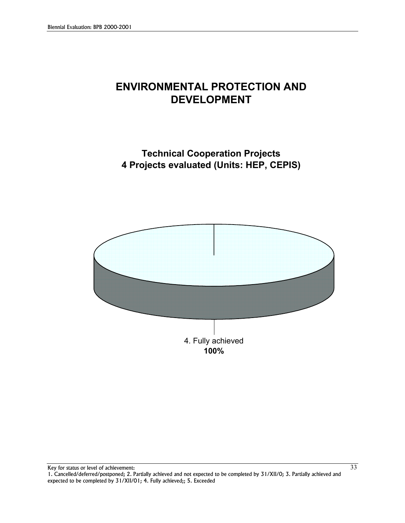# **ENVIRONMENTAL PROTECTION AND DEVELOPMENT**

### **Technical Cooperation Projects 4 Projects evaluated (Units: HEP, CEPIS)**

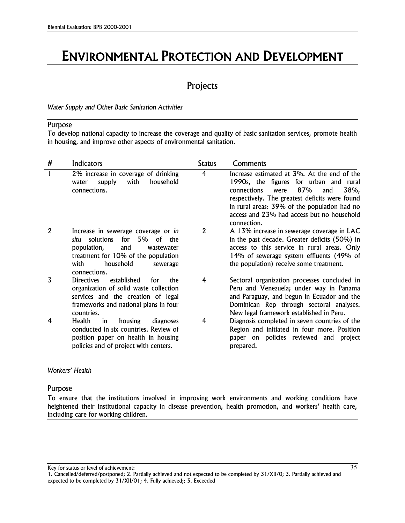# ENVIRONMENTAL PROTECTION AND DEVELOPMENT

### Projects

*Water Supply and Other Basic Sanitation Activities*

### Purpose

To develop national capacity to increase the coverage and quality of basic sanitation services, promote health in housing, and improve other aspects of environmental sanitation.

| #            | Indicators                                                                                                                                                                                                   | <b>Status</b> | Comments                                                                                                                                                                                                                                                                                          |
|--------------|--------------------------------------------------------------------------------------------------------------------------------------------------------------------------------------------------------------|---------------|---------------------------------------------------------------------------------------------------------------------------------------------------------------------------------------------------------------------------------------------------------------------------------------------------|
|              | 2% increase in coverage of drinking<br>with<br>household<br>supply<br>water<br>connections.                                                                                                                  | 4             | Increase estimated at 3%. At the end of the<br>1990s, the figures for urban and rural<br>87%<br>connections<br>38%,<br>were<br>and<br>respectively. The greatest deficits were found<br>in rural areas: 39% of the population had no<br>access and 23% had access but no household<br>connection. |
| $\mathbf{2}$ | Increase in sewerage coverage or in<br>5% of the<br>for<br><i>situ</i> solutions<br>population,<br>and<br>wastewater<br>treatment for 10% of the population<br>with<br>household<br>sewerage<br>connections. | $\mathbf{2}$  | A 13% increase in sewerage coverage in LAC<br>in the past decade. Greater deficits (50%) in<br>access to this service in rural areas. Only<br>14% of sewerage system effluents (49% of<br>the population) receive some treatment.                                                                 |
| 3            | <b>Directives</b><br>established<br>for<br>the<br>organization of solid waste collection<br>services and the creation of legal<br>frameworks and national plans in four<br>countries.                        | 4             | Sectoral organization processes concluded in<br>Peru and Venezuela; under way in Panama<br>and Paraguay, and begun in Ecuador and the<br>Dominican Rep through sectoral analyses.<br>New legal framework established in Peru.                                                                     |
| 4            | Health<br>housing<br>diagnoses<br>in<br>conducted in six countries. Review of<br>position paper on health in housing<br>policies and of project with centers.                                                | 4             | Diagnosis completed in seven countries of the<br>Region and initiated in four more. Position<br>paper on policies reviewed and<br>project<br>prepared.                                                                                                                                            |

### *Workers' Health*

### Purpose

To ensure that the institutions involved in improving work environments and working conditions have heightened their institutional capacity in disease prevention, health promotion, and workers' health care, including care for working children.

<sup>1.</sup> Cancelled/deferred/postponed; 2. Partially achieved and not expected to be completed by 31/XII/0; 3. Partially achieved and expected to be completed by 31/XII/01; 4. Fully achieved;; 5. Exceeded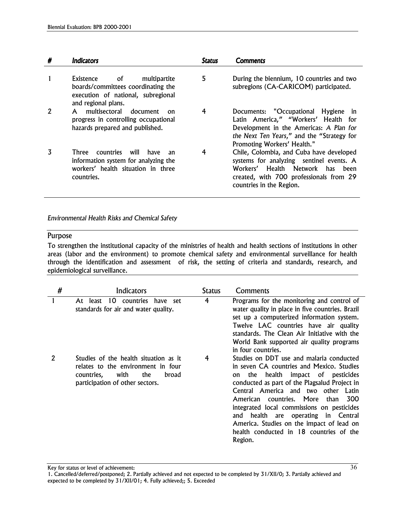| # | <i><u><b>Indicators</b></u></i>                                                                                                      | Status | Comments                                                                                                                                                                                            |
|---|--------------------------------------------------------------------------------------------------------------------------------------|--------|-----------------------------------------------------------------------------------------------------------------------------------------------------------------------------------------------------|
|   | Existence<br>multipartite<br>0f<br>boards/committees coordinating the<br>execution of national, subregional<br>and regional plans.   | 5      | During the biennium, 10 countries and two<br>subregions (CA-CARICOM) participated.                                                                                                                  |
| 2 | multisectoral document<br>A<br><sub>on</sub><br>progress in controlling occupational<br>hazards prepared and published.              | 4      | Documents: "Occupational Hygiene in<br>Latin America," "Workers' Health for<br>Development in the Americas: A Plan for<br>the Next Ten Years," and the "Strategy for<br>Promoting Workers' Health." |
| 3 | countries<br>Three<br>will<br>have<br>an<br>information system for analyzing the<br>workers' health situation in three<br>countries. | 4      | Chile, Colombia, and Cuba have developed<br>systems for analyzing sentinel events. A<br>Workers' Health Network has<br>been<br>created, with 700 professionals from 29<br>countries in the Region.  |

*Environmental Health Risks and Chemical Safety*

### Purpose

To strengthen the institutional capacity of the ministries of health and health sections of institutions in other areas (labor and the environment) to promote chemical safety and environmental surveillance for health through the identification and assessment of risk, the setting of criteria and standards, research, and epidemiological surveillance.

| # | Indicators                                                                                                                                           | <b>Status</b> | Comments                                                                                                                                                                                                                                                                                                                                                                                                                                                           |
|---|------------------------------------------------------------------------------------------------------------------------------------------------------|---------------|--------------------------------------------------------------------------------------------------------------------------------------------------------------------------------------------------------------------------------------------------------------------------------------------------------------------------------------------------------------------------------------------------------------------------------------------------------------------|
|   | At least 10 countries have set<br>standards for air and water quality.                                                                               | 4             | Programs for the monitoring and control of<br>water quality in place in five countries. Brazil<br>set up a computerized information system.<br>Twelve LAC countries have air quality<br>standards. The Clean Air Initiative with the<br>World Bank supported air quality programs<br>in four countries.                                                                                                                                                            |
| 2 | Studies of the health situation as it<br>relates to the environment in four<br>with<br>countries,<br>the<br>broad<br>participation of other sectors. | 4             | Studies on DDT use and malaria conducted<br>in seven CA countries and Mexico. Studies<br>health<br>impact of pesticides<br>the<br>on<br>conducted as part of the Plagsalud Project in<br>Central America and two other Latin<br>300<br>American countries. More<br>than<br>integrated local commissions on pesticides<br>health are operating in Central<br>and<br>America. Studies on the impact of lead on<br>health conducted in 18 countries of the<br>Region. |

<sup>1.</sup> Cancelled/deferred/postponed; 2. Partially achieved and not expected to be completed by 31/XII/0; 3. Partially achieved and expected to be completed by 31/XII/01; 4. Fully achieved;; 5. Exceeded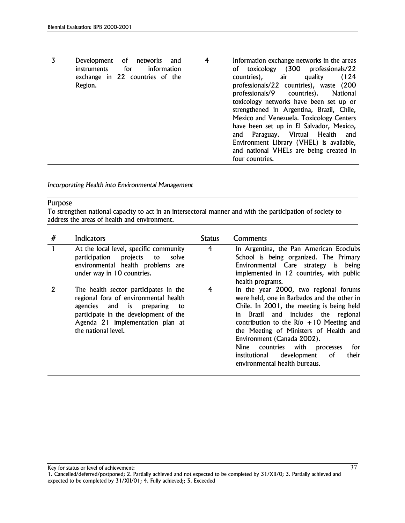3 Development of networks and instruments for information exchange in 22 countries of the Region. 4 Information exchange networks in the areas of toxicology (300 professionals/22 countries), air quality (124 professionals/22 countries), waste (200 professionals/9 countries). National toxicology networks have been set up or strengthened in Argentina, Brazil, Chile, Mexico and Venezuela. Toxicology Centers have been set up in El Salvador, Mexico, and Paraguay. Virtual Health and Environment Library (VHEL) is available, and national VHELs are being created in four countries.

*Incorporating Health into Environmental Management*

### Purpose

To strengthen national capacity to act in an intersectoral manner and with the participation of society to address the areas of health and environment.

| # | Indicators                                                                                                                                                                                                            | <b>Status</b> | Comments                                                                                                                                                                                                                                                                                                                                                                                                                                   |
|---|-----------------------------------------------------------------------------------------------------------------------------------------------------------------------------------------------------------------------|---------------|--------------------------------------------------------------------------------------------------------------------------------------------------------------------------------------------------------------------------------------------------------------------------------------------------------------------------------------------------------------------------------------------------------------------------------------------|
|   | At the local level, specific community<br>participation<br>projects to<br>solve<br>environmental health problems are<br>under way in 10 countries.                                                                    | 4             | In Argentina, the Pan American Ecoclubs<br>School is being organized. The Primary<br>Environmental Care strategy is being<br>implemented in 12 countries, with public<br>health programs.                                                                                                                                                                                                                                                  |
| 2 | The health sector participates in the<br>regional fora of environmental health<br>agencies and is preparing<br>to<br>participate in the development of the<br>Agenda 21 implementation plan at<br>the national level. | 4             | In the year 2000, two regional forums<br>were held, one in Barbados and the other in<br>Chile. In 2001, the meeting is being held<br>Brazil and includes the regional<br>in l<br>contribution to the Río $+10$ Meeting and<br>the Meeting of Ministers of Health and<br>Environment (Canada 2002).<br><b>Nine</b><br>countries<br>with<br>for<br>processes<br>0f<br>development<br>their<br>institutional<br>environmental health bureaus. |

<sup>1.</sup> Cancelled/deferred/postponed; 2. Partially achieved and not expected to be completed by 31/XII/0; 3. Partially achieved and expected to be completed by 31/XII/01; 4. Fully achieved;; 5. Exceeded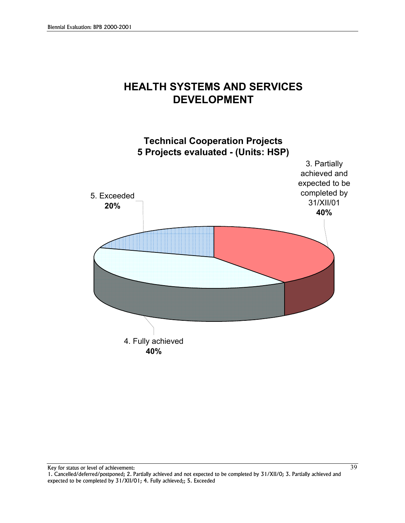# **DEVELOPMENT**



39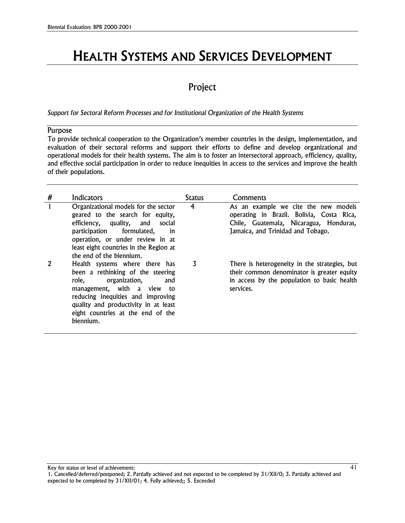# HEALTH SYSTEMS AND SERVICES DEVELOPMENT

## Project

*Support for Sectoral Reform Processes and for Institutional Organization of the Health Systems*

### Purpose

To provide technical cooperation to the Organization's member countries in the design, implementation, and evaluation of tbeir sectoral reforms and support their efforts to define and develop organizational and operational models for their health systems. The aim is to foster an intersectoral approach, efficiency, quality, and effective social participation in order to reduce inequities in access to the services and improve the health of their populations.

| # | Indicators                                                                                                                                                                                                                                                     | <b>Status</b> | Comments                                                                                                                                                         |
|---|----------------------------------------------------------------------------------------------------------------------------------------------------------------------------------------------------------------------------------------------------------------|---------------|------------------------------------------------------------------------------------------------------------------------------------------------------------------|
|   | Organizational models for the sector<br>geared to the search for equity,<br>efficiency, quality, and social<br>participation formulated,<br>-in<br>operation, or under review in at<br>least eight countries in the Region at<br>the end of the biennium.      | 4             | As an example we cite the new models<br>operating in Brazil. Bolivia, Costa Rica,<br>Chile, Guatemala, Nicaragua, Honduras,<br>Jamaica, and Trinidad and Tobago. |
| 2 | Health systems where there has<br>been a rethinking of the steering<br>role, organization,<br>and<br>management, with a view to<br>reducing inequities and improving<br>quality and productivity in at least<br>eight countries at the end of the<br>biennium. | 3             | There is heterogeneity in the strategies, but<br>their common denominator is greater equity<br>in access by the population to basic health<br>services.          |

Key for status or level of achievement:

41

<sup>1.</sup> Cancelled/deferred/postponed; 2. Partially achieved and not expected to be completed by 31/XII/0; 3. Partially achieved and expected to be completed by 31/XII/01; 4. Fully achieved;; 5. Exceeded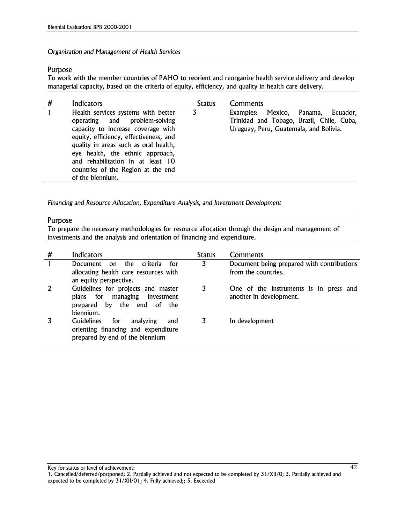*Organization and Management of Health Services*

### Purpose

To work with the member countries of PAHO to reorient and reorganize health service delivery and develop managerial capacity, based on the criteria of equity, efficiency, and quality in health care delivery.

| #            | Indicators                                                                                                                                                                                                                                                                                                                       | <b>Status</b> | Comments                                                                                                                        |
|--------------|----------------------------------------------------------------------------------------------------------------------------------------------------------------------------------------------------------------------------------------------------------------------------------------------------------------------------------|---------------|---------------------------------------------------------------------------------------------------------------------------------|
| $\mathbf{1}$ | Health services systems with better<br>operating and problem-solving<br>capacity to increase coverage with<br>equity, efficiency, effectiveness, and<br>quality in areas such as oral health,<br>eye health, the ethnic approach,<br>and rehabilitation in at least 10<br>countries of the Region at the end<br>of the biennium. | 3             | Mexico, Panama,<br>Examples:<br>Ecuador,<br>Trinidad and Tobago, Brazil, Chile, Cuba,<br>Uruguay, Peru, Guatemala, and Bolivia. |

*Financing and Resource Allocation, Expenditure Analysis, and Investment Development*

### Purpose

To prepare the necessary methodologies for resource allocation through the design and management of investments and the analysis and orientation of financing and expenditure.

| #            | Indicators                                                                                                              | <b>Status</b> | Comments                                                          |
|--------------|-------------------------------------------------------------------------------------------------------------------------|---------------|-------------------------------------------------------------------|
| $\mathbf{1}$ | on the criteria<br>Document<br>for<br>allocating health care resources with<br>an equity perspective.                   | 3             | Document being prepared with contributions<br>from the countries. |
| 2            | Guidelines for projects and master<br>for<br>managing<br>investment<br>plans<br>prepared by the end of the<br>biennium. | 3             | One of the instruments is in press and<br>another in development. |
|              | <b>Guidelines</b><br>analyzing<br>for<br>and<br>orienting financing and expenditure<br>prepared by end of the biennium  | 3             | In development                                                    |

<sup>1.</sup> Cancelled/deferred/postponed; 2. Partially achieved and not expected to be completed by 31/XII/0; 3. Partially achieved and expected to be completed by 31/XII/01; 4. Fully achieved;; 5. Exceeded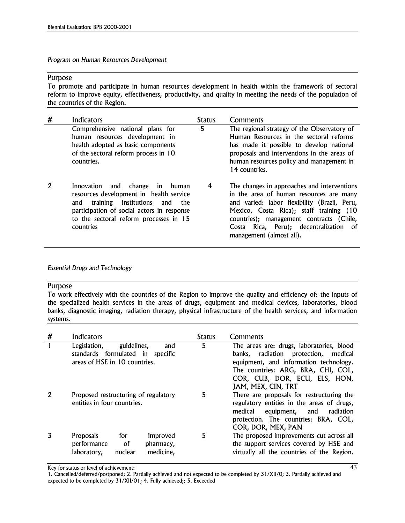### *Program on Human Resources Development*

### Purpose

To promote and participate in human resources development in health within the framework of sectoral reform to improve equity, effectiveness, productivity, and quality in meeting the needs of the population of the countries of the Region.

| # | <b>Indicators</b>                                                                                                                                                                                                                     | <b>Status</b> | Comments                                                                                                                                                                                                                                                                                            |
|---|---------------------------------------------------------------------------------------------------------------------------------------------------------------------------------------------------------------------------------------|---------------|-----------------------------------------------------------------------------------------------------------------------------------------------------------------------------------------------------------------------------------------------------------------------------------------------------|
|   | Comprehensive national plans for<br>human resources development in<br>health adopted as basic components<br>of the sectoral reform process in 10<br>countries.                                                                        | 5             | The regional strategy of the Observatory of<br>Human Resources in the sectoral reforms<br>has made it possible to develop national<br>proposals and interventions in the areas of<br>human resources policy and management in<br>14 countries.                                                      |
| 2 | Innovation and<br>change<br>human<br>in<br>resources development in health service<br>training institutions<br>and<br>the<br>and<br>participation of social actors in response<br>to the sectoral reform processes in 15<br>countries | 4             | The changes in approaches and interventions<br>in the area of human resources are many<br>and varied: labor flexibility (Brazil, Peru,<br>Mexico, Costa Rica); staff training (10<br>countries); management contracts (Chile,<br>Costa Rica, Peru); decentralization of<br>management (almost all). |

### *Essential Drugs and Technology*

### Purpose

To work effectively with the countries of the Region to improve the quality and efficiency of: the inputs of the specialized health services in the areas of drugs, equipment and medical devices, laboratories, blood banks, diagnostic imaging, radiation therapy, physical infrastructure of the health services, and information systems.

| # | Indicators                                                                                                   | <b>Status</b> | Comments                                                                                                                                                                                                                    |
|---|--------------------------------------------------------------------------------------------------------------|---------------|-----------------------------------------------------------------------------------------------------------------------------------------------------------------------------------------------------------------------------|
|   | guidelines,<br>Legislation,<br>and<br>standards formulated in specific<br>areas of HSE in 10 countries.      | 5             | The areas are: drugs, laboratories, blood<br>banks, radiation protection,<br>medical<br>equipment, and information technology.<br>The countries: ARG, BRA, CHI, COL,<br>COR, CUB, DOR, ECU, ELS, HON,<br>JAM, MEX, CIN, TRT |
| 2 | Proposed restructuring of regulatory<br>entities in four countries.                                          | 5             | There are proposals for restructuring the<br>regulatory entities in the areas of drugs,<br>radiation<br>medical equipment,<br>and<br>protection. The countries: BRA, COL,<br>COR, DOR, MEX, PAN                             |
|   | <b>Proposals</b><br>improved<br>for<br>of<br>performance<br>pharmacy,<br>medicine,<br>laboratory,<br>nuclear | 5             | The proposed improvements cut across all<br>the support services covered by HSE and<br>virtually all the countries of the Region.                                                                                           |

Key for status or level of achievement:

1. Cancelled/deferred/postponed; 2. Partially achieved and not expected to be completed by 31/XII/0; 3. Partially achieved and expected to be completed by 31/XII/01; 4. Fully achieved;; 5. Exceeded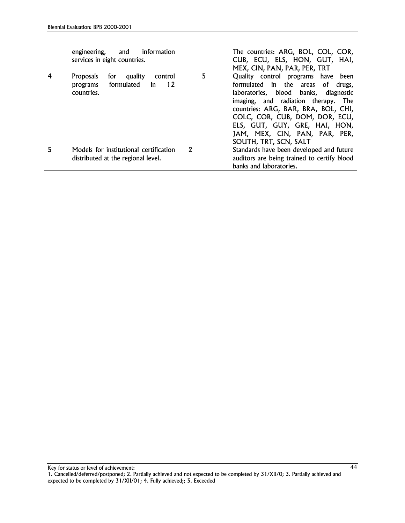|   | information<br>engineering,<br>and<br>services in eight countries.                                |    | The countries: ARG, BOL, COL, COR,<br>CUB, ECU, ELS, HON, GUT, HAI,<br>MEX, CIN, PAN, PAR, PER, TRT                                                                                                                                                                                                                         |
|---|---------------------------------------------------------------------------------------------------|----|-----------------------------------------------------------------------------------------------------------------------------------------------------------------------------------------------------------------------------------------------------------------------------------------------------------------------------|
| 4 | <b>Proposals</b><br>quality<br>control<br>for<br>formulated<br>12<br>in<br>programs<br>countries. | 5  | Quality control programs have been<br>formulated in the areas of drugs,<br>laboratories, blood banks, diagnostic<br>imaging, and radiation therapy. The<br>countries: ARG, BAR, BRA, BOL, CHI,<br>COLC, COR, CUB, DOM, DOR, ECU,<br>ELS, GUT, GUY, GRE, HAI, HON,<br>JAM, MEX, CIN, PAN, PAR, PER,<br>SOUTH, TRT, SCN, SALT |
| 5 | Models for institutional certification<br>distributed at the regional level.                      | -2 | Standards have been developed and future<br>auditors are being trained to certify blood<br>banks and laboratories.                                                                                                                                                                                                          |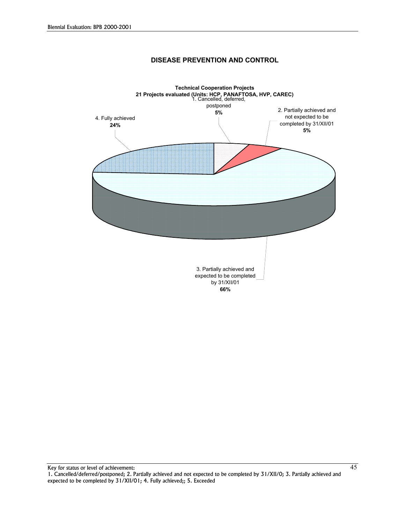



45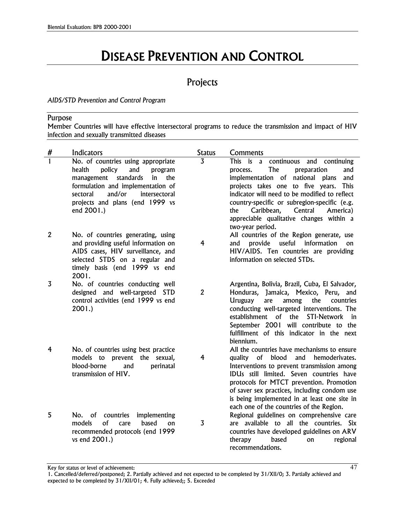# DISEASE PREVENTION AND CONTROL

# Projects

### *AIDS/STD Prevention and Control Program*

### Purpose

Member Countries will have effective intersectoral programs to reduce the transmission and impact of HIV infection and sexually transmitted diseases

| #                | Indicators                                                                                                                                                                                                                                    | <b>Status</b>  | Comments                                                                                                                                                                                                                                                                                                                                                                          |
|------------------|-----------------------------------------------------------------------------------------------------------------------------------------------------------------------------------------------------------------------------------------------|----------------|-----------------------------------------------------------------------------------------------------------------------------------------------------------------------------------------------------------------------------------------------------------------------------------------------------------------------------------------------------------------------------------|
| 1                | No. of countries using appropriate<br>health<br>policy<br>and<br>program<br>standards<br>in<br>management<br>the<br>formulation and implementation of<br>and/or<br>intersectoral<br>sectoral<br>projects and plans (end 1999 vs<br>end 2001.) | $\overline{3}$ | This is<br>a continuous and continuing<br>The<br>preparation<br>and<br>process.<br>implementation of national plans<br>and<br>projects takes one to five years. This<br>indicator will need to be modified to reflect<br>country-specific or subregion-specific (e.g.<br>Caribbean,<br>Central<br>the<br>America)<br>appreciable qualitative changes within a<br>two-year period. |
| $\boldsymbol{2}$ | No. of countries generating, using<br>and providing useful information on<br>AIDS cases, HIV surveillance, and<br>selected STDS on a regular and<br>timely basis (end 1999 vs end<br>2001.                                                    | $\overline{4}$ | All countries of the Region generate, use<br>useful<br>information<br>provide<br>and<br>on<br>HIV/AIDS. Ten countries are providing<br>information on selected STDs.                                                                                                                                                                                                              |
| 3                | No. of countries conducting well<br>designed and well-targeted STD<br>control activities (end 1999 vs end<br>2001.                                                                                                                            | $\overline{2}$ | Argentina, Bolivia, Brazil, Cuba, El Salvador,<br>Honduras, Jamaica, Mexico, Peru, and<br><b>Uruguay</b><br>are<br>among<br>the<br>countries<br>conducting well-targeted interventions. The<br><b>STI-Network</b><br>establishment of the<br>in<br>September 2001 will contribute to the<br>fulfillment of this indicator in the next<br>biennium.                                |
| 4                | No. of countries using best practice<br>models to prevent<br>the sexual,<br>blood-borne<br>perinatal<br>and<br>transmission of HIV.                                                                                                           | $\overline{4}$ | All the countries have mechanisms to ensure<br>blood<br>and<br>quality of<br>hemoderivates.<br>Interventions to prevent transmission among<br>IDUs still limited. Seven countries have<br>protocols for MTCT prevention. Promotion<br>of saver sex practices, including condom use<br>is being implemented in at least one site in<br>each one of the countries of the Region.    |
| 5                | No. of<br>countries<br>implementing<br>models<br>$\alpha$ f<br>based<br>care<br>on<br>recommended protocols (end 1999<br>vs end 2001.)                                                                                                        | $\overline{3}$ | Regional guidelines on comprehensive care<br>are available to all the countries. Six<br>countries have developed guidelines on ARV<br>based<br>therapy<br>regional<br>on<br>recommendations.                                                                                                                                                                                      |

<sup>1.</sup> Cancelled/deferred/postponed; 2. Partially achieved and not expected to be completed by 31/XII/0; 3. Partially achieved and expected to be completed by 31/XII/01; 4. Fully achieved;; 5. Exceeded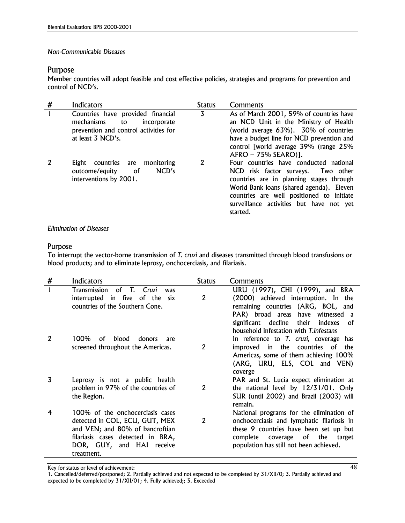### *Non-Communicable Diseases*

### Purpose

Member countries will adopt feasible and cost effective policies, strategies and programs for prevention and control of NCD's.

| # | <b>Indicators</b>                                                                                                                  | <b>Status</b>  | Comments                                                                                                                                                                                                                                                                     |
|---|------------------------------------------------------------------------------------------------------------------------------------|----------------|------------------------------------------------------------------------------------------------------------------------------------------------------------------------------------------------------------------------------------------------------------------------------|
|   | Countries have provided financial<br>mechanisms<br>incorporate<br>to<br>prevention and control activities for<br>at least 3 NCD's. | $\overline{3}$ | As of March 2001, 59% of countries have<br>an NCD Unit in the Ministry of Health<br>(world average 63%). 30% of countries<br>have a budget line for NCD prevention and<br>control [world average 39% (range 25%<br>$AFRO - 75\%$ SEARO)].                                    |
| 2 | monitoring<br>countries<br>Eight<br>are<br>NCD's<br>of<br>outcome/equity<br>interventions by 2001.                                 | 2              | Four countries have conducted national<br>NCD risk factor surveys.<br>Two other<br>countries are in planning stages through<br>World Bank loans (shared agenda). Eleven<br>countries are well positioned to initiate<br>surveillance activities but have not yet<br>started. |

### *Elimination of Diseases*

### Purpose

To interrupt the vector-borne transmission of *T. cruzi* and diseases transmitted through blood transfusions or blood products; and to eliminate leprosy, onchocerciasis, and filariasis.

| #            | Indicators                                                                                                                                                                            | Status           | Comments                                                                                                                                                                                                                                      |
|--------------|---------------------------------------------------------------------------------------------------------------------------------------------------------------------------------------|------------------|-----------------------------------------------------------------------------------------------------------------------------------------------------------------------------------------------------------------------------------------------|
| 1            | Transmission<br>of $T$ .<br>Cruzi<br>was<br>interrupted in five of the<br>six<br>countries of the Southern Cone.                                                                      | $\overline{2}$   | URU (1997), CHI (1999), and BRA<br>(2000) achieved interruption. In the<br>remaining countries (ARG, BOL, and<br>PAR) broad areas have witnessed a<br>significant decline<br>their<br>indexes<br>0f<br>household infestation with T.infestans |
| $\mathbf{2}$ | 100%<br>blood<br>οf<br>donors<br>are<br>screened throughout the Americas.                                                                                                             | 2                | In reference to T. cruzi, coverage has<br>improved in the countries<br>of the<br>Americas, some of them achieving 100%<br>(ARG, URU, ELS, COL and VEN)<br>coverge                                                                             |
| 3            | Leprosy is not a public health<br>problem in 97% of the countries of<br>the Region.                                                                                                   | 2                | PAR and St. Lucia expect elimination at<br>the national level by 12/31/01. Only<br>SUR (until 2002) and Brazil (2003) will<br>remain.                                                                                                         |
| 4            | 100% of the onchocerciasis cases<br>detected in COL, ECU, GUT, MEX<br>and VEN; and 80% of bancroftian<br>filariasis cases detected in BRA,<br>DOR, GUY, and HAI receive<br>treatment. | $\boldsymbol{c}$ | National programs for the elimination of<br>onchocerciasis and lymphatic filariosis in<br>these 9 countries have been set up but<br>complete<br>of<br>the<br>coverage<br>target<br>population has still not been achieved.                    |

<sup>1.</sup> Cancelled/deferred/postponed; 2. Partially achieved and not expected to be completed by 31/XII/0; 3. Partially achieved and expected to be completed by 31/XII/01; 4. Fully achieved;; 5. Exceeded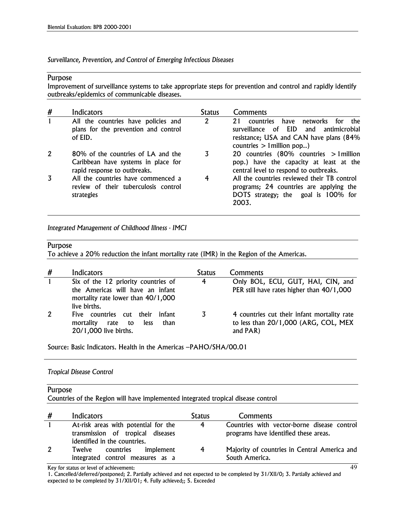*Surveillance, Prevention, and Control of Emerging Infectious Diseases*

### Purpose

Improvement of surveillance systems to take appropriate steps for prevention and control and rapidly identify outbreaks/epidemics of communicable diseases.

| #            | Indicators                                                                                                | <b>Status</b> | Comments                                                                                                                                                                        |
|--------------|-----------------------------------------------------------------------------------------------------------|---------------|---------------------------------------------------------------------------------------------------------------------------------------------------------------------------------|
| $\mathbf{1}$ | All the countries have policies and<br>plans for the prevention and control<br>of EID.                    | 2             | <b>countries</b><br>21<br>have<br>networks<br>the<br>for<br>surveillance of EID and<br>antimicrobial<br>resistance; USA and CAN have plans (84%<br>countries $> 1$ million pop) |
| 2            | 80% of the countries of LA and the<br>Caribbean have systems in place for<br>rapid response to outbreaks. | 3             | 20 countries (80% countries $>1$ million<br>pop.) have the capacity at least at the<br>central level to respond to outbreaks.                                                   |
| 3            | All the countries have commenced a<br>review of their tuberculosis control<br>strategies                  | 4             | All the countries reviewed their TB control<br>programs; 24 countries are applying the<br>DOTS strategy; the goal is 100% for<br>2003.                                          |

*Integrated Management of Childhood Illness - IMCI*

### Purpose

To achieve a 20% reduction the infant mortality rate (IMR) in the Region of the Americas.

| #            | Indicators                                                                                                                    | <b>Status</b> | Comments                                                                                        |
|--------------|-------------------------------------------------------------------------------------------------------------------------------|---------------|-------------------------------------------------------------------------------------------------|
| $\mathbf{1}$ | Six of the 12 priority countries of<br>the Americas will have an infant<br>mortality rate lower than 40/1,000<br>live births. | 4             | Only BOL, ECU, GUT, HAI, CIN, and<br>PER still have rates higher than 40/1,000                  |
| 2            | Five countries cut their<br>infant<br>mortality<br>than<br>rate<br><b>less</b><br>to<br>20/1,000 live births.                 | 3             | 4 countries cut their infant mortality rate<br>to less than 20/1,000 (ARG, COL, MEX<br>and PAR) |

Source: Basic Indicators. Health in the Americas –PAHO/SHA/00.01

### *Tropical Disease Control*

### Purpose Countries of the Region will have implemented integrated tropical disease control

| #            | Indicators                                                                                                | <b>Status</b> | Comments                                                                             |
|--------------|-----------------------------------------------------------------------------------------------------------|---------------|--------------------------------------------------------------------------------------|
|              | At-risk areas with potential for the<br>transmission of tropical diseases<br>identified in the countries. | 4             | Countries with vector-borne disease control<br>programs have identified these areas. |
| $\mathbf{2}$ | countries<br>implement<br><b>Twelve</b><br>integrated control measures as a                               | 4             | Majority of countries in Central America and<br>South America.                       |

Key for status or level of achievement:

1. Cancelled/deferred/postponed; 2. Partially achieved and not expected to be completed by 31/XII/0; 3. Partially achieved and expected to be completed by 31/XII/01; 4. Fully achieved;; 5. Exceeded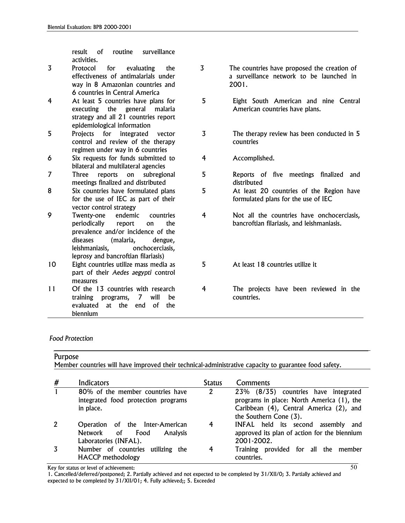result of routine surveillance activities.

- 3 Protocol for evaluating the effectiveness of antimalarials under way in 8 Amazonian countries and 6 countries in Central America
- 4 At least 5 countries have plans for executing the general malaria strategy and all 21 countries report epidemiological information
- 5 Projects for integrated vector control and review of the therapy regimen under way in 6 countries
- 6 Six requests for funds submitted to bilateral and multilateral agencies
- 7 Three reports on subregional meetings finalized and distributed
- 8 Six countries have formulated plans for the use of IEC as part of their vector control strategy
- 9 Twenty-one endemic countries periodically report on the prevalence and/or incidence of the diseases (malaria, dengue, leishmaniasis, onchocerciasis, leprosy and bancroftian filariasis)
- 10 Eight countries utilize mass media as part of their *Aedes aegypti* control measures
- 11 Of the 13 countries with research training programs, 7 will be evaluated at the end of the biennium
- 3 The countries have proposed the creation of a surveillance network to be launched in 2001.
- 5 Eight South American and nine Central American countries have plans.
- 3 The therapy review has been conducted in 5 countries
- 4 Accomplished.
- 5 Reports of five meetings finalized and distributed
- 5 At least 20 countries of the Region have formulated plans for the use of IEC
- 4 Not all the countries have onchocerciasis, bancroftian filariasis, and leishmaniasis.
- 5 At least 18 countries utilize it
- 4 The projects have been reviewed in the countries.

### *Food Protection*

| Purpose                                                                                               |
|-------------------------------------------------------------------------------------------------------|
| Member countries will have improved their technical-administrative capacity to guarantee food safety. |

| # | <b>Indicators</b>                                                                              | <b>Status</b> | Comments                                                                                                                                               |
|---|------------------------------------------------------------------------------------------------|---------------|--------------------------------------------------------------------------------------------------------------------------------------------------------|
|   | 80% of the member countries have<br>integrated food protection programs<br>in place.           | 2             | 23% (8/35) countries have integrated<br>programs in place: North America (1), the<br>Caribbean (4), Central America (2), and<br>the Southern Cone (3). |
| 2 | Operation of the Inter-American<br>Network of Food<br><b>Analysis</b><br>Laboratories (INFAL). | 4             | INFAL held its second assembly and<br>approved its plan of action for the biennium<br>2001-2002.                                                       |
| 3 | Number of countries utilizing the<br><b>HACCP</b> methodology                                  | 4             | Training provided for all the member<br>countries.<br>$\sim$                                                                                           |

Key for status or level of achievement:

1. Cancelled/deferred/postponed; 2. Partially achieved and not expected to be completed by 31/XII/0; 3. Partially achieved and expected to be completed by 31/XII/01; 4. Fully achieved;; 5. Exceeded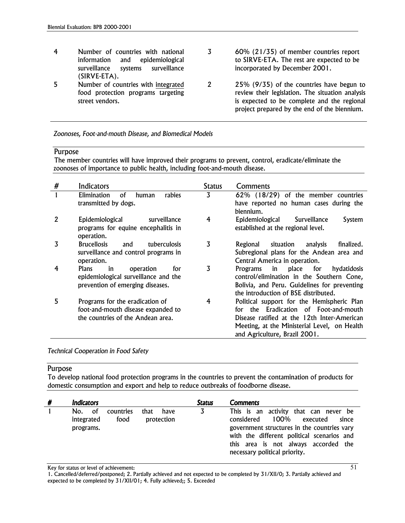- 4 Number of countries with national information and epidemiological surveillance systems surveillance (SIRVE-ETA).
- 5 Number of countries with integrated food protection programs targeting street vendors.
- 3 60% (21/35) of member countries report to SIRVE-ETA. The rest are expected to be incorporated by December 2001.
- 2 25% (9/35) of the countries have begun to review their legislation. The situation analysis is expected to be complete and the regional project prepared by the end of the biennium.

*Zoonoses, Foot-and-mouth Disease, and Biomedical Models*

### Purpose

The member countries will have improved their programs to prevent, control, eradicate/eliminate the zoonoses of importance to public health, including foot-and-mouth disease.

|              | Indicators                                                                                                         | <b>Status</b> | Comments                                                                                                                                                                                                                  |
|--------------|--------------------------------------------------------------------------------------------------------------------|---------------|---------------------------------------------------------------------------------------------------------------------------------------------------------------------------------------------------------------------------|
| 1            | Elimination<br>οf<br>rabies<br>human<br>transmitted by dogs.                                                       | 3             | 62% (18/29) of the member countries<br>have reported no human cases during the<br>biennium.                                                                                                                               |
| $\mathbf{2}$ | Epidemiological<br>surveillance<br>programs for equine encephalitis in<br>operation.                               | 4             | Surveillance<br>Epidemiological<br>System<br>established at the regional level.                                                                                                                                           |
| 3            | <b>Brucellosis</b><br>tuberculosis<br>and<br>surveillance and control programs in<br>operation.                    | 3             | situation<br>Regional<br>analysis<br>finalized.<br>Subregional plans for the Andean area and<br>Central America in operation.                                                                                             |
| 4            | <b>Plans</b><br>operation<br>in<br>for<br>epidemiological surveillance and the<br>prevention of emerging diseases. | 3             | in place<br>for<br>Programs<br>hydatidosis<br>control/elimination in the Southern Cone,<br>Bolivia, and Peru. Guidelines for preventing<br>the introduction of BSE distributed.                                           |
| 5            | Programs for the eradication of<br>foot-and-mouth disease expanded to<br>the countries of the Andean area.         | 4             | Political support for the Hemispheric Plan<br>Eradication of Foot-and-mouth<br>the<br>for<br>Disease ratified at the 12th Inter-American<br>Meeting, at the Ministerial Level, on Health<br>and Agriculture, Brazil 2001. |

*Technical Cooperation in Food Safety*

### Purpose

To develop national food protection programs in the countries to prevent the contamination of products for domestic consumption and export and help to reduce outbreaks of foodborne disease.

| # | <i><u><b>Indicators</b></u></i>                                                          | <b>Status</b> | Comments                                                                                                                                                                                                                                               |
|---|------------------------------------------------------------------------------------------|---------------|--------------------------------------------------------------------------------------------------------------------------------------------------------------------------------------------------------------------------------------------------------|
|   | .of<br>No.<br>that<br>countries<br>have<br>food<br>protection<br>integrated<br>programs. | 3             | This is an activity that can never be<br>100%<br>considered<br>since<br>executed<br>government structures in the countries vary<br>with the different political scenarios and<br>this area is not always accorded the<br>necessary political priority. |

Key for status or level of achievement:

1. Cancelled/deferred/postponed; 2. Partially achieved and not expected to be completed by 31/XII/0; 3. Partially achieved and expected to be completed by 31/XII/01; 4. Fully achieved;; 5. Exceeded

51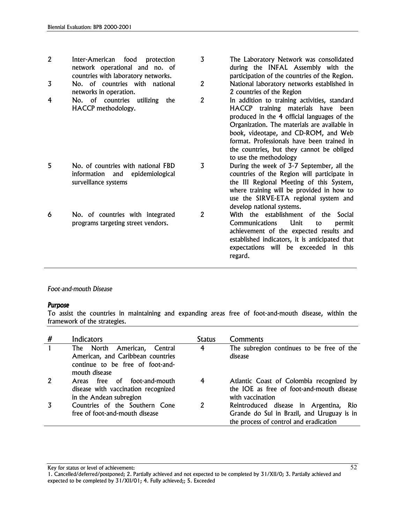| $\overline{2}$ | food<br>Inter-American<br>protection<br>network operational and no. of<br>countries with laboratory networks. | 3              | The Laboratory Network was consolidated<br>during the INFAL Assembly with the<br>participation of the countries of the Region.                                                                                                                                                                                                                 |
|----------------|---------------------------------------------------------------------------------------------------------------|----------------|------------------------------------------------------------------------------------------------------------------------------------------------------------------------------------------------------------------------------------------------------------------------------------------------------------------------------------------------|
| 3              | No. of countries with national<br>networks in operation.                                                      | $\overline{2}$ | National laboratory networks established in<br>2 countries of the Region                                                                                                                                                                                                                                                                       |
| 4              | No. of countries utilizing the<br>HACCP methodology.                                                          | $\overline{2}$ | In addition to training activities, standard<br>HACCP training materials have been<br>produced in the 4 official languages of the<br>Organization. The materials are available in<br>book, videotape, and CD-ROM, and Web<br>format. Professionals have been trained in<br>the countries, but they cannot be obliged<br>to use the methodology |
| 5              | No. of countries with national FBD<br>information and epidemiological<br>surveillance systems                 | $\overline{3}$ | During the week of 3-7 September, all the<br>countries of the Region will participate in<br>the III Regional Meeting of this System,<br>where training will be provided in how to<br>use the SIRVE-ETA regional system and<br>develop national systems.                                                                                        |
| 6              | No. of countries with integrated<br>programs targeting street vendors.                                        | $\overline{2}$ | With the establishment of the<br>Social<br>Unit<br><b>Communications</b><br>permit<br>to<br>achievement of the expected results and<br>established indicators, it is anticipated that<br>expectations will be exceeded in this<br>regard.                                                                                                      |

### *Foot-and-mouth Disease*

### *Purpose*

To assist the countries in maintaining and expanding areas free of foot-and-mouth disease, within the framework of the strategies.

| # | <b>Indicators</b>                                                                                                     | <b>Status</b> | Comments                                                                                                                       |
|---|-----------------------------------------------------------------------------------------------------------------------|---------------|--------------------------------------------------------------------------------------------------------------------------------|
|   | The North American, Central<br>American, and Caribbean countries<br>continue to be free of foot-and-<br>mouth disease | 4             | The subregion continues to be free of the<br>disease                                                                           |
|   | free of foot-and-mouth<br>Areas<br>disease with vaccination recognized<br>in the Andean subregion                     | 4             | Atlantic Coast of Colombia recognized by<br>the IOE as free of foot-and-mouth disease<br>with vaccination                      |
|   | Countries of the Southern Cone<br>free of foot-and-mouth disease                                                      | 2             | Reintroduced disease in Argentina, Rio<br>Grande do Sul in Brazil, and Uruguay is in<br>the process of control and eradication |

<sup>1.</sup> Cancelled/deferred/postponed; 2. Partially achieved and not expected to be completed by 31/XII/0; 3. Partially achieved and expected to be completed by 31/XII/01; 4. Fully achieved;; 5. Exceeded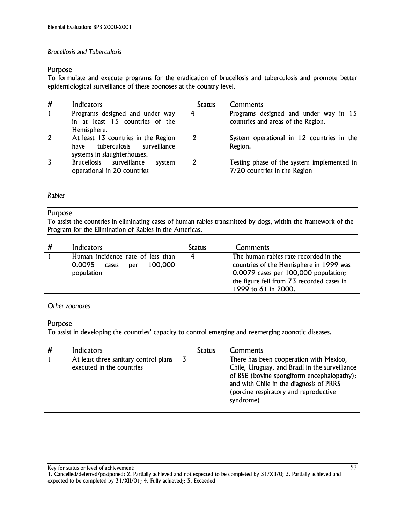### *Brucellosis and Tuberculosis*

### Purpose

To formulate and execute programs for the eradication of brucellosis and tuberculosis and promote better epidemiological surveillance of these zoonoses at the country level.

| #            | Indicators                                                                                              | <b>Status</b> | Comments                                                                    |
|--------------|---------------------------------------------------------------------------------------------------------|---------------|-----------------------------------------------------------------------------|
| $\mathbf{1}$ | Programs designed and under way<br>in at least 15 countries of the<br>Hemisphere.                       | 4             | Programs designed and under way in 15<br>countries and areas of the Region. |
| $\mathbf{2}$ | At least 13 countries in the Region<br>tuberculosis surveillance<br>have<br>systems in slaughterhouses. | 2             | System operational in 12 countries in the<br>Region.                        |
| 3            | Brucellosis surveillance<br>system<br>operational in 20 countries                                       | 2             | Testing phase of the system implemented in<br>7/20 countries in the Region  |

### *Rabies*

### Purpose

To assist the countries in eliminating cases of human rabies transmitted by dogs, within the framework of the Program for the Elimination of Rabies in the Americas.

| # | Indicators                                                                        | <b>Status</b> | Comments                                                                                                                                                                                     |
|---|-----------------------------------------------------------------------------------|---------------|----------------------------------------------------------------------------------------------------------------------------------------------------------------------------------------------|
|   | Human incidence rate of less than<br>100.000<br>0.0095 cases<br>per<br>population | 4             | The human rabies rate recorded in the<br>countries of the Hemisphere in 1999 was<br>0.0079 cases per 100,000 population;<br>the figure fell from 73 recorded cases in<br>1999 to 61 in 2000. |

### *Other zoonoses*

### Purpose

To assist in developing the countries' capacity to control emerging and reemerging zoonotic diseases.

| Indicators                                                         | <b>Status</b> | Comments                                                                                                                                                                                                                                 |
|--------------------------------------------------------------------|---------------|------------------------------------------------------------------------------------------------------------------------------------------------------------------------------------------------------------------------------------------|
| At least three sanitary control plans<br>executed in the countries |               | There has been cooperation with Mexico,<br>Chile, Uruguay, and Brazil in the surveillance<br>of BSE (bovine spongiform encephalopathy);<br>and with Chile in the diagnosis of PRRS<br>(porcine respiratory and reproductive<br>syndrome) |

<sup>1.</sup> Cancelled/deferred/postponed; 2. Partially achieved and not expected to be completed by 31/XII/0; 3. Partially achieved and expected to be completed by 31/XII/01; 4. Fully achieved;; 5. Exceeded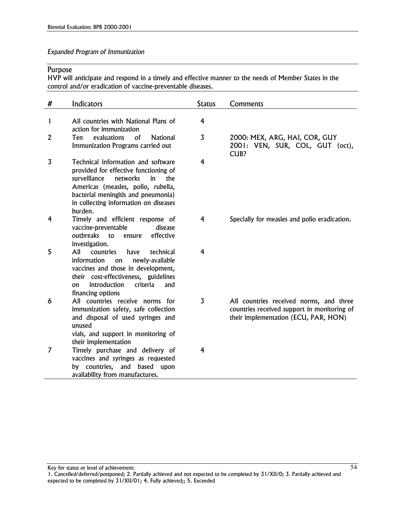### *Expanded Program of Immunization*

### Purpose

HVP will anticipate and respond in a timely and effective manner to the needs of Member States in the control and/or eradication of vaccine-preventable diseases.

| #              | Indicators                                                                                                                                                                                                                                            | <b>Status</b>  | Comments                                                                                                                       |
|----------------|-------------------------------------------------------------------------------------------------------------------------------------------------------------------------------------------------------------------------------------------------------|----------------|--------------------------------------------------------------------------------------------------------------------------------|
| 1              | All countries with National Plans of<br>action for immunization                                                                                                                                                                                       | 4              |                                                                                                                                |
| $\overline{2}$ | Ten<br>evaluations<br>of<br><b>National</b><br>Immunization Programs carried out                                                                                                                                                                      | $\overline{3}$ | 2000: MEX, ARG, HAI, COR, GUY<br>2001: VEN, SUR, COL, GUT (oct),<br>CUB?                                                       |
| 3              | Technical information and software<br>provided for effective functioning of<br>surveillance<br>networks<br>in<br>the<br>Americas (measles, polio, rubella,<br>bacterial meningitis and pneumonia)<br>in collecting information on diseases<br>burden. | 4              |                                                                                                                                |
| 4              | Timely and efficient response of<br>vaccine-preventable<br>disease<br>outbreaks<br>effective<br>to<br>ensure<br>investigation.                                                                                                                        | 4              | Specially for measles and polio eradication.                                                                                   |
| 5              | All<br>countries<br>technical<br>have<br>information<br>newly-available<br>on<br>vaccines and those in development,<br>their cost-effectiveness, guidelines<br>introduction<br>criteria<br>on<br>and<br>financing options                             | 4              |                                                                                                                                |
| 6              | All countries receive norms for<br>immunization safety, safe collection<br>and disposal of used syringes and<br>unused<br>vials, and support in monitoring of<br>their implementation                                                                 | $\overline{3}$ | All countries received norms, and three<br>countries received support in monitoring of<br>their implementation (ECU, PAR, HON) |
| 7              | Timely purchase and delivery of<br>vaccines and syringes as requested<br>by countries, and based upon<br>availability from manufactures.                                                                                                              | $\overline{4}$ |                                                                                                                                |

<sup>1.</sup> Cancelled/deferred/postponed; 2. Partially achieved and not expected to be completed by 31/XII/0; 3. Partially achieved and expected to be completed by 31/XII/01; 4. Fully achieved;; 5. Exceeded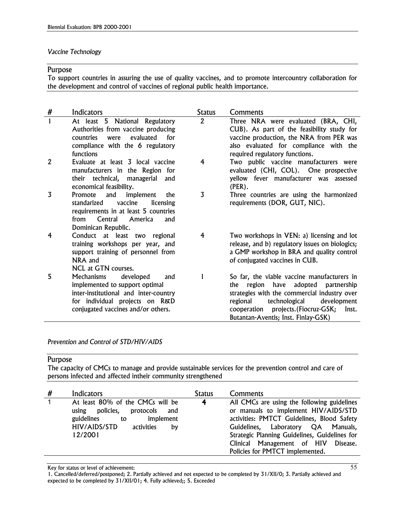### *Vaccine Technology*

### Purpose

To support countries in assuring the use of quality vaccines, and to promote intercountry collaboration for the development and control of vaccines of regional public health importance.

| #            | <b>Indicators</b>                                                                                                                                                                 | <b>Status</b>  | Comments                                                                                                                                                                                                                                                                            |
|--------------|-----------------------------------------------------------------------------------------------------------------------------------------------------------------------------------|----------------|-------------------------------------------------------------------------------------------------------------------------------------------------------------------------------------------------------------------------------------------------------------------------------------|
| 1            | At least 5 National Regulatory<br>Authorities from vaccine producing<br><b>countries</b><br>evaluated<br>for<br>were<br>compliance with the 6 regulatory<br>functions             | $\mathbf{2}$   | Three NRA were evaluated (BRA, CHI,<br>CUB). As part of the feasibility study for<br>vaccine production, the NRA from PER was<br>also evaluated for compliance with the<br>required regulatory functions.                                                                           |
| $\mathbf{2}$ | Evaluate at least 3 local vaccine<br>manufacturers in the Region for<br>their technical, managerial<br>and<br>economical feasibility.                                             | 4              | Two public vaccine manufacturers were<br>evaluated (CHI, COL). One prospective<br>yellow fever manufacturer was assessed<br>$(PER)$ .                                                                                                                                               |
| 3            | Promote<br>and<br>implement<br>the<br>standarized<br>vaccine<br>licensing<br>requirements in at least 5 countries<br>Central<br>from<br>America<br>and<br>Dominican Republic.     | 3              | Three countries are using the harmonized<br>requirements (DOR, GUT, NIC).                                                                                                                                                                                                           |
| 4            | Conduct at least two regional<br>training workshops per year, and<br>support training of personnel from<br>NRA and<br>NCL at GTN courses.                                         | $\overline{4}$ | Two workshops in VEN: a) licensing and lot<br>release, and b) regulatory issues on biologics;<br>a GMP workshop in BRA and quality control<br>of conjugated vaccines in CUB.                                                                                                        |
| 5            | Mechanisms<br>developed<br>and<br>implemented to support optimal<br>inter-institutional and inter-country<br>for individual projects on R&D<br>conjugated vaccines and/or others. | 1              | So far, the viable vaccine manufacturers in<br>region<br>adopted<br>have<br>partnership<br>the<br>strategies with the commercial industry over<br>technological<br>development<br>regional<br>projects.(Fiocruz-GSK;<br>cooperation<br>Inst.<br>Butantan-Aventis; Inst. Finlay-GSK) |

### *Prevention and Control of STD/HIV/AIDS*

### Purpose

The capacity of CMCs to manage and provide sustainable services for the prevention control and care of persons infected and affected intheir community strengthened

| # | Indicators                                                                                                                                              | <b>Status</b>  | Comments                                                                                                                                                                                                                                                                                              |
|---|---------------------------------------------------------------------------------------------------------------------------------------------------------|----------------|-------------------------------------------------------------------------------------------------------------------------------------------------------------------------------------------------------------------------------------------------------------------------------------------------------|
| 1 | At least 80% of the CMCs will be<br>using policies,<br>protocols<br>and<br>guidelines<br>implement<br>to<br>HIV/AIDS/STD<br>activities<br>by<br>12/2001 | $\overline{4}$ | All CMCs are using the following guidelines<br>or manuals to implement HIV/AIDS/STD<br>activities: PMTCT Guidelines, Blood Safety<br>Guidelines, Laboratory QA Manuals,<br>Strategic Planning Guidelines, Guidelines for<br>Clinical Management of HIV<br>Disease.<br>Policies for PMTCT implemented. |

<sup>1.</sup> Cancelled/deferred/postponed; 2. Partially achieved and not expected to be completed by 31/XII/0; 3. Partially achieved and expected to be completed by 31/XII/01; 4. Fully achieved;; 5. Exceeded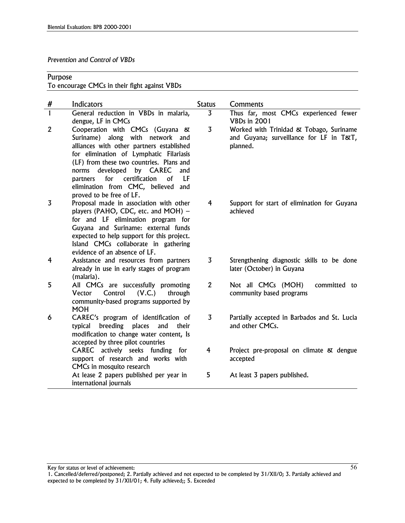### *Prevention and Control of VBDs*

| Purpose        |                                                                                                                                                                                                                                                                                                                                                                    |                |                                                                                                |
|----------------|--------------------------------------------------------------------------------------------------------------------------------------------------------------------------------------------------------------------------------------------------------------------------------------------------------------------------------------------------------------------|----------------|------------------------------------------------------------------------------------------------|
|                | To encourage CMCs in their fight against VBDs                                                                                                                                                                                                                                                                                                                      |                |                                                                                                |
| #              | Indicators                                                                                                                                                                                                                                                                                                                                                         | <b>Status</b>  | Comments                                                                                       |
| $\mathbf{1}$   | General reduction in VBDs in malaria,<br>dengue, LF in CMCs                                                                                                                                                                                                                                                                                                        | $\overline{3}$ | Thus far, most CMCs experienced fewer<br><b>VBDs in 2001</b>                                   |
| $\overline{2}$ | Cooperation with CMCs (Guyana &<br>Suriname) along with network and<br>alliances with other partners established<br>for elimination of Lymphatic Filariasis<br>(LF) from these two countries. Plans and<br>developed<br>by CAREC<br>norms<br>and<br>certification<br>LF<br>for<br>οf<br>partners<br>elimination from CMC, believed and<br>proved to be free of LF. | 3              | Worked with Trinidad & Tobago, Suriname<br>and Guyana; surveillance for LF in T&T,<br>planned. |
| 3              | Proposal made in association with other<br>players (PAHO, CDC, etc. and MOH) -<br>for and LF elimination program for<br>Guyana and Suriname: external funds<br>expected to help support for this project.<br>Island CMCs collaborate in gathering<br>evidence of an absence of LF.                                                                                 | 4              | Support for start of elimination for Guyana<br>achieved                                        |
| 4              | Assistance and resources from partners<br>already in use in early stages of program<br>(malaria).                                                                                                                                                                                                                                                                  | $\overline{3}$ | Strengthening diagnostic skills to be done<br>later (October) in Guyana                        |
| 5              | All CMCs are successfully promoting<br>Control<br>(V.C.)<br>Vector<br>through<br>community-based programs supported by<br><b>MOH</b>                                                                                                                                                                                                                               | $\overline{2}$ | committed to<br>Not all CMCs (MOH)<br>community based programs                                 |
| 6              | CAREC's program of identification of<br>breeding<br>places<br>and<br>their<br>typical<br>modification to change water content, Is<br>accepted by three pilot countries                                                                                                                                                                                             | $\overline{3}$ | Partially accepted in Barbados and St. Lucia<br>and other CMCs.                                |
|                | CAREC actively seeks funding for<br>support of research and works with<br>CMCs in mosquito research                                                                                                                                                                                                                                                                | 4              | Project pre-proposal on climate & dengue<br>accepted                                           |
|                | At lease 2 papers published per year in<br>international journals                                                                                                                                                                                                                                                                                                  | 5              | At least 3 papers published.                                                                   |
|                |                                                                                                                                                                                                                                                                                                                                                                    |                |                                                                                                |

<sup>1.</sup> Cancelled/deferred/postponed; 2. Partially achieved and not expected to be completed by 31/XII/0; 3. Partially achieved and expected to be completed by 31/XII/01; 4. Fully achieved;; 5. Exceeded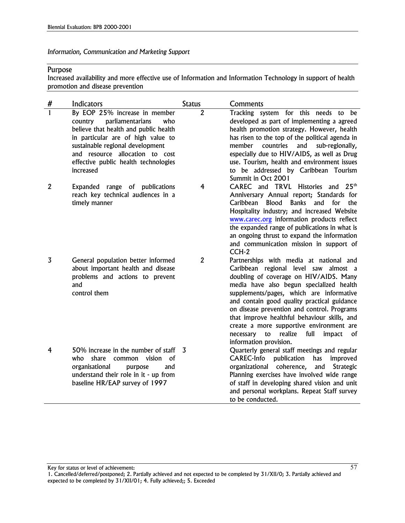*Information, Communication and Marketing Support*

### Purpose

Increased availability and more effective use of Information and Information Technology in support of health promotion and disease prevention

| #              | Indicators                                                                                                                                                                                                                                                                     | <b>Status</b>  | Comments                                                                                                                                                                                                                                                                                                                                                                                                                                                                                     |
|----------------|--------------------------------------------------------------------------------------------------------------------------------------------------------------------------------------------------------------------------------------------------------------------------------|----------------|----------------------------------------------------------------------------------------------------------------------------------------------------------------------------------------------------------------------------------------------------------------------------------------------------------------------------------------------------------------------------------------------------------------------------------------------------------------------------------------------|
|                | By EOP 25% increase in member<br>parliamentarians<br>country<br>who<br>believe that health and public health<br>in particular are of high value to<br>sustainable regional development<br>and resource allocation to cost<br>effective public health technologies<br>increased | $\overline{2}$ | Tracking system for this needs to be<br>developed as part of implementing a agreed<br>health promotion strategy. However, health<br>has risen to the top of the political agenda in<br>member<br>countries<br>and<br>sub-regionally,<br>especially due to HIV/AIDS, as well as Drug<br>use. Tourism, health and environment issues<br>to be addressed by Caribbean Tourism<br>Summit in Oct 2001                                                                                             |
| $\mathbf{2}$   | Expanded range of publications<br>reach key technical audiences in a<br>timely manner                                                                                                                                                                                          | 4              | CAREC and TRVL Histories and<br>25 <sup>th</sup><br>Anniversary Annual report; Standards for<br><b>Banks</b><br>Caribbean<br>Blood<br>and for<br>the<br>Hospitality industry; and increased Website<br>www.carec.org information products reflect<br>the expanded range of publications in what is<br>an ongoing thrust to expand the information<br>and communication mission in support of<br>CCH-2                                                                                        |
| $\overline{3}$ | General population better informed<br>about important health and disease<br>problems and actions to prevent<br>and<br>control them                                                                                                                                             | $\overline{2}$ | Partnerships with media at national and<br>Caribbean regional level saw almost a<br>doubling of coverage on HIV/AIDS. Many<br>media have also begun specialized health<br>supplements/pages, which are informative<br>and contain good quality practical guidance<br>on disease prevention and control. Programs<br>that improve healthful behaviour skills, and<br>create a more supportive environment are<br>realize<br>full<br>of<br>necessary<br>to<br>impact<br>information provision. |
| 4              | 50% increase in the number of staff<br>vision<br>of<br>who<br>share<br>common<br>organisational<br>and<br>purpose<br>understand their role in it - up from<br>baseline HR/EAP survey of 1997                                                                                   | 3              | Quarterly general staff meetings and regular<br><b>CAREC-Info</b><br>publication<br>has<br>improved<br>organizational coherence,<br>and<br>Strategic<br>Planning exercises have involved wide range<br>of staff in developing shared vision and unit<br>and personal workplans. Repeat Staff survey<br>to be conducted.                                                                                                                                                                      |

<sup>1.</sup> Cancelled/deferred/postponed; 2. Partially achieved and not expected to be completed by 31/XII/0; 3. Partially achieved and expected to be completed by 31/XII/01; 4. Fully achieved;; 5. Exceeded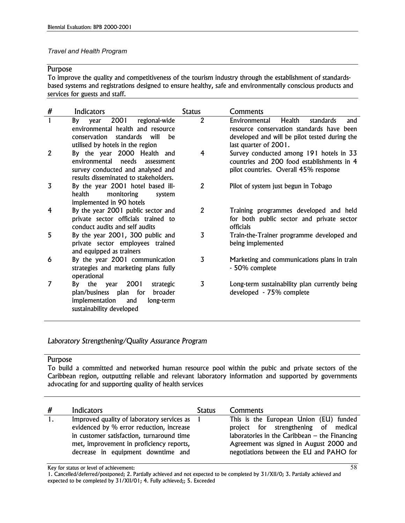### *Travel and Health Program*

### Purpose

To improve the quality and competitiveness of the tourism industry through the establishment of standardsbased systems and registrations designed to ensure healthy, safe and environmentally conscious products and services for guests and staff.

| #              | Indicators                                                                                                                                              | <b>Status</b>  | Comments                                                                                                                                                           |
|----------------|---------------------------------------------------------------------------------------------------------------------------------------------------------|----------------|--------------------------------------------------------------------------------------------------------------------------------------------------------------------|
|                | 2001<br>regional-wide<br>By<br>year<br>environmental health and resource<br>conservation<br>standards<br>will<br>he<br>utilised by hotels in the region | $\overline{2}$ | Health<br>standards<br>Environmental<br>and<br>resource conservation standards have been<br>developed and will be pilot tested during the<br>last quarter of 2001. |
| 2              | By the year 2000 Health and<br>environmental<br>needs<br>assessment<br>survey conducted and analysed and<br>results disseminated to stakeholders.       | 4              | Survey conducted among 191 hotels in 33<br>countries and 200 food establishments in 4<br>pilot countries. Overall 45% response                                     |
| 3              | By the year 2001 hotel based ill-<br>health<br>monitoring<br>system<br>implemented in 90 hotels                                                         | $\mathbf{2}$   | Pilot of system just begun in Tobago                                                                                                                               |
| 4              | By the year 2001 public sector and<br>private sector officials trained to<br>conduct audits and self audits                                             | $\overline{2}$ | Training programmes developed and held<br>for both public sector and private sector<br>officials                                                                   |
| 5              | By the year 2001, 300 public and<br>private sector employees trained<br>and equipped as trainers                                                        | 3              | Train-the-Trainer programme developed and<br>being implemented                                                                                                     |
| 6              | By the year 2001 communication<br>strategies and marketing plans fully<br>operational                                                                   | 3              | Marketing and communications plans in train<br>- 50% complete                                                                                                      |
| $\overline{7}$ | 2001<br>By the year<br>strategic<br>plan/business plan for<br>broader<br>implementation<br>long-term<br>and<br>sustainability developed                 | 3              | Long-term sustainability plan currently being<br>developed - 75% complete                                                                                          |

### *Laboratory Strengthening/Quality Assurance Program*

### Purpose

To build a committed and networked human resource pool within the pubic and private sectors of the Caribbean region, outputting reliable and relevant laboratory information and supported by governments advocating for and supporting quality of health services

| # | <b>Indicators</b>                                                                                                                                                                                                     | <b>Status</b> | Comments                                                                                                                                                                                                                 |
|---|-----------------------------------------------------------------------------------------------------------------------------------------------------------------------------------------------------------------------|---------------|--------------------------------------------------------------------------------------------------------------------------------------------------------------------------------------------------------------------------|
|   | Improved quality of laboratory services as<br>evidenced by % error reduction, increase<br>in customer satisfaction, turnaround time<br>met, improvement in proficiency reports,<br>decrease in equipment downtime and |               | This is the European Union (EU) funded<br>project for strengthening of medical<br>laboratories in the Caribbean $-$ the Financing<br>Agreement was signed in August 2000 and<br>negotiations between the EU and PAHO for |

Key for status or level of achievement:

<sup>1.</sup> Cancelled/deferred/postponed; 2. Partially achieved and not expected to be completed by 31/XII/0; 3. Partially achieved and expected to be completed by 31/XII/01; 4. Fully achieved;; 5. Exceeded